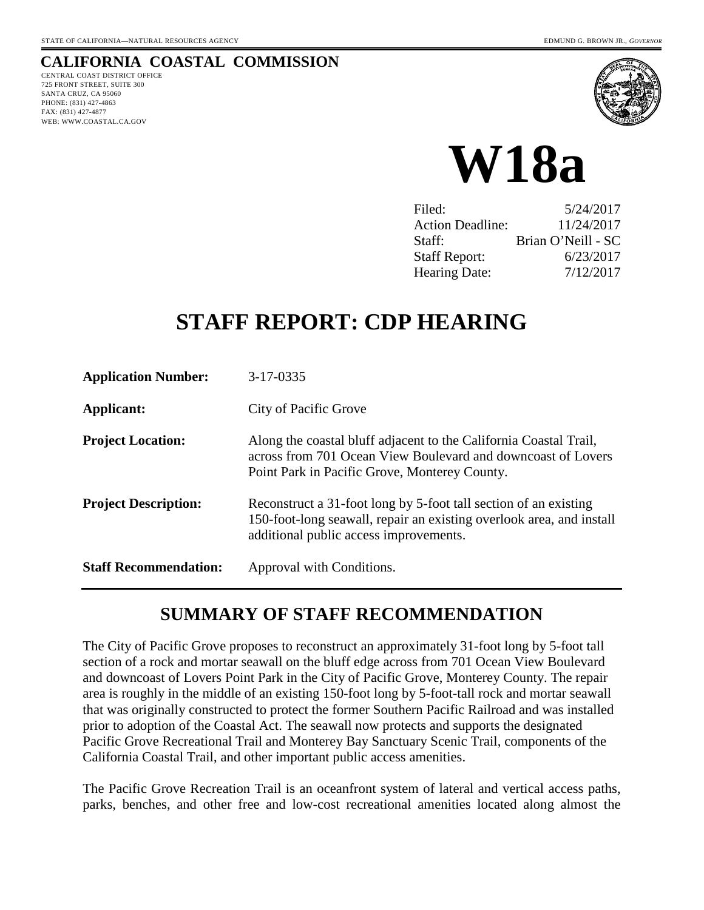# **CALIFORNIA COASTAL COMMISSION**

CENTRAL COAST DISTRICT OFFICE 725 FRONT STREET, SUITE 300 SANTA CRUZ, CA 95060 PHONE: (831) 427-4863 FAX: (831) 427-4877 WEB: WWW.COASTAL.CA.GOV





| Filed:                  | 5/24/2017          |
|-------------------------|--------------------|
| <b>Action Deadline:</b> | 11/24/2017         |
| Staff:                  | Brian O'Neill - SC |
| <b>Staff Report:</b>    | 6/23/2017          |
| <b>Hearing Date:</b>    | 7/12/2017          |

# **STAFF REPORT: CDP HEARING**

| <b>Application Number:</b>   | 3-17-0335                                                                                                                                                                          |
|------------------------------|------------------------------------------------------------------------------------------------------------------------------------------------------------------------------------|
| Applicant:                   | City of Pacific Grove                                                                                                                                                              |
| <b>Project Location:</b>     | Along the coastal bluff adjacent to the California Coastal Trail,<br>across from 701 Ocean View Boulevard and downcoast of Lovers<br>Point Park in Pacific Grove, Monterey County. |
| <b>Project Description:</b>  | Reconstruct a 31-foot long by 5-foot tall section of an existing<br>150-foot-long seawall, repair an existing overlook area, and install<br>additional public access improvements. |
| <b>Staff Recommendation:</b> | Approval with Conditions.                                                                                                                                                          |

# **SUMMARY OF STAFF RECOMMENDATION**

The City of Pacific Grove proposes to reconstruct an approximately 31-foot long by 5-foot tall section of a rock and mortar seawall on the bluff edge across from 701 Ocean View Boulevard and downcoast of Lovers Point Park in the City of Pacific Grove, Monterey County. The repair area is roughly in the middle of an existing 150-foot long by 5-foot-tall rock and mortar seawall that was originally constructed to protect the former Southern Pacific Railroad and was installed prior to adoption of the Coastal Act. The seawall now protects and supports the designated Pacific Grove Recreational Trail and Monterey Bay Sanctuary Scenic Trail, components of the California Coastal Trail, and other important public access amenities.

The Pacific Grove Recreation Trail is an oceanfront system of lateral and vertical access paths, parks, benches, and other free and low-cost recreational amenities located along almost the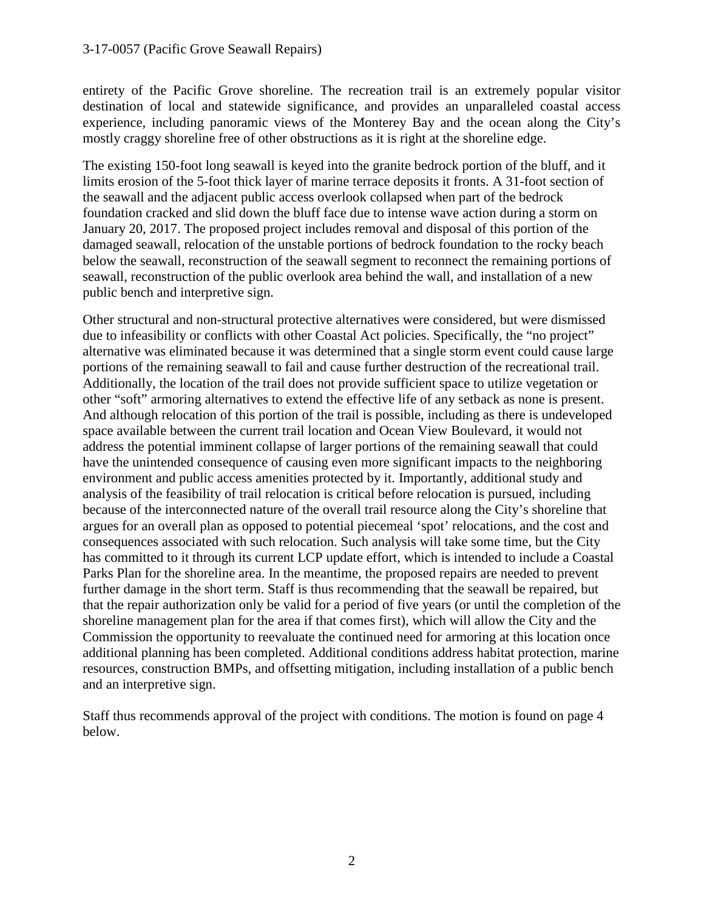#### 3-17-0057 (Pacific Grove Seawall Repairs)

entirety of the Pacific Grove shoreline. The recreation trail is an extremely popular visitor destination of local and statewide significance, and provides an unparalleled coastal access experience, including panoramic views of the Monterey Bay and the ocean along the City's mostly craggy shoreline free of other obstructions as it is right at the shoreline edge.

The existing 150-foot long seawall is keyed into the granite bedrock portion of the bluff, and it limits erosion of the 5-foot thick layer of marine terrace deposits it fronts. A 31-foot section of the seawall and the adjacent public access overlook collapsed when part of the bedrock foundation cracked and slid down the bluff face due to intense wave action during a storm on January 20, 2017. The proposed project includes removal and disposal of this portion of the damaged seawall, relocation of the unstable portions of bedrock foundation to the rocky beach below the seawall, reconstruction of the seawall segment to reconnect the remaining portions of seawall, reconstruction of the public overlook area behind the wall, and installation of a new public bench and interpretive sign.

Other structural and non-structural protective alternatives were considered, but were dismissed due to infeasibility or conflicts with other Coastal Act policies. Specifically, the "no project" alternative was eliminated because it was determined that a single storm event could cause large portions of the remaining seawall to fail and cause further destruction of the recreational trail. Additionally, the location of the trail does not provide sufficient space to utilize vegetation or other "soft" armoring alternatives to extend the effective life of any setback as none is present. And although relocation of this portion of the trail is possible, including as there is undeveloped space available between the current trail location and Ocean View Boulevard, it would not address the potential imminent collapse of larger portions of the remaining seawall that could have the unintended consequence of causing even more significant impacts to the neighboring environment and public access amenities protected by it. Importantly, additional study and analysis of the feasibility of trail relocation is critical before relocation is pursued, including because of the interconnected nature of the overall trail resource along the City's shoreline that argues for an overall plan as opposed to potential piecemeal 'spot' relocations, and the cost and consequences associated with such relocation. Such analysis will take some time, but the City has committed to it through its current LCP update effort, which is intended to include a Coastal Parks Plan for the shoreline area. In the meantime, the proposed repairs are needed to prevent further damage in the short term. Staff is thus recommending that the seawall be repaired, but that the repair authorization only be valid for a period of five years (or until the completion of the shoreline management plan for the area if that comes first), which will allow the City and the Commission the opportunity to reevaluate the continued need for armoring at this location once additional planning has been completed. Additional conditions address habitat protection, marine resources, construction BMPs, and offsetting mitigation, including installation of a public bench and an interpretive sign.

Staff thus recommends approval of the project with conditions. The motion is found on page 4 below.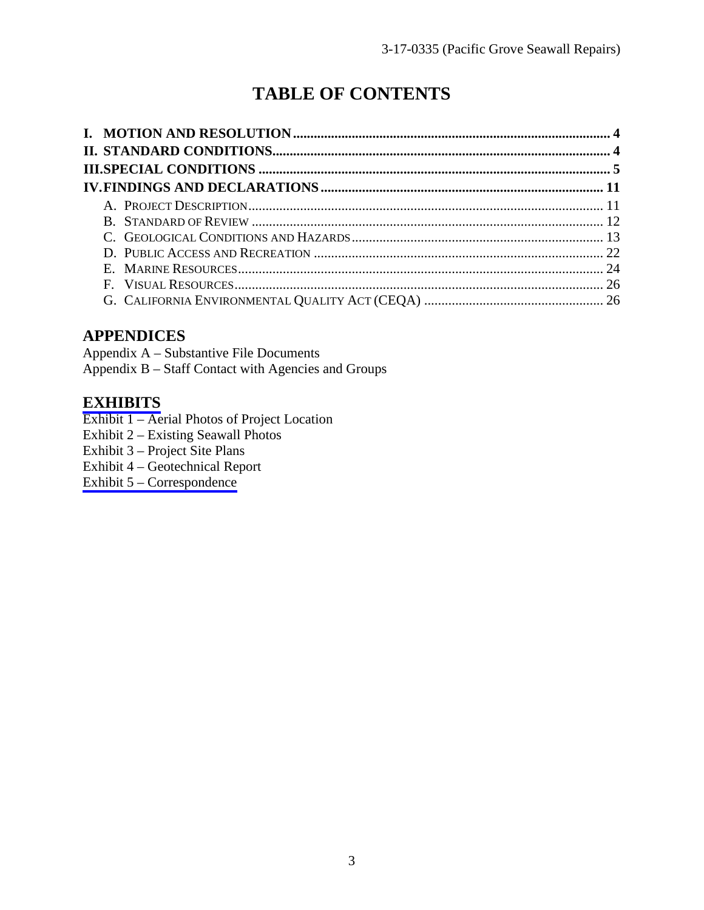# **TABLE OF CONTENTS**

# **APPENDICES**

Appendix A – Substantive File Documents Appendix B – Staff Contact with Agencies and Groups

# **[EXHIBITS](https://documents.coastal.ca.gov/reports/2017/7/w18a/w18a-7-2017-exhibits.pdf)**

- Exhibit 1 Aerial Photos of Project Location
- Exhibit 2 Existing Seawall Photos
- Exhibit 3 Project Site Plans
- Exhibit 4 Geotechnical Report
- [Exhibit 5 Correspondence](https://documents.coastal.ca.gov/reports/2017/7/w18a/w18a-7-2017-corresp.pdf)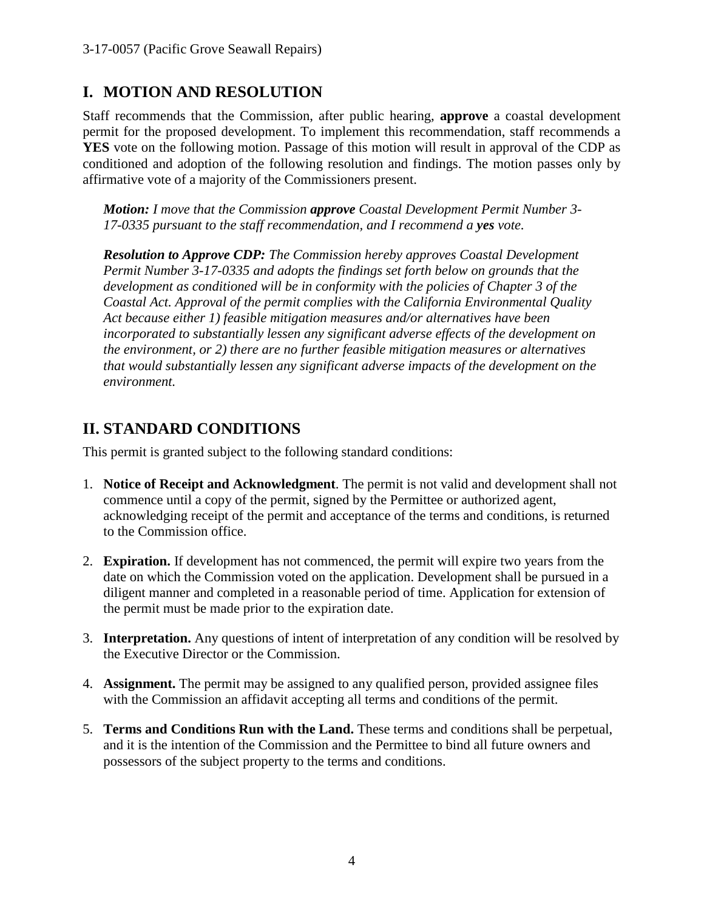# **I. MOTION AND RESOLUTION**

Staff recommends that the Commission, after public hearing, **approve** a coastal development permit for the proposed development. To implement this recommendation, staff recommends a **YES** vote on the following motion. Passage of this motion will result in approval of the CDP as conditioned and adoption of the following resolution and findings. The motion passes only by affirmative vote of a majority of the Commissioners present.

*Motion: I move that the Commission approve Coastal Development Permit Number 3- 17-0335 pursuant to the staff recommendation, and I recommend a yes vote.* 

*Resolution to Approve CDP: The Commission hereby approves Coastal Development Permit Number 3-17-0335 and adopts the findings set forth below on grounds that the development as conditioned will be in conformity with the policies of Chapter 3 of the Coastal Act. Approval of the permit complies with the California Environmental Quality Act because either 1) feasible mitigation measures and/or alternatives have been incorporated to substantially lessen any significant adverse effects of the development on the environment, or 2) there are no further feasible mitigation measures or alternatives that would substantially lessen any significant adverse impacts of the development on the environment.*

# **II. STANDARD CONDITIONS**

This permit is granted subject to the following standard conditions:

- 1. **Notice of Receipt and Acknowledgment**. The permit is not valid and development shall not commence until a copy of the permit, signed by the Permittee or authorized agent, acknowledging receipt of the permit and acceptance of the terms and conditions, is returned to the Commission office.
- 2. **Expiration.** If development has not commenced, the permit will expire two years from the date on which the Commission voted on the application. Development shall be pursued in a diligent manner and completed in a reasonable period of time. Application for extension of the permit must be made prior to the expiration date.
- 3. **Interpretation.** Any questions of intent of interpretation of any condition will be resolved by the Executive Director or the Commission.
- 4. **Assignment.** The permit may be assigned to any qualified person, provided assignee files with the Commission an affidavit accepting all terms and conditions of the permit.
- 5. **Terms and Conditions Run with the Land.** These terms and conditions shall be perpetual, and it is the intention of the Commission and the Permittee to bind all future owners and possessors of the subject property to the terms and conditions.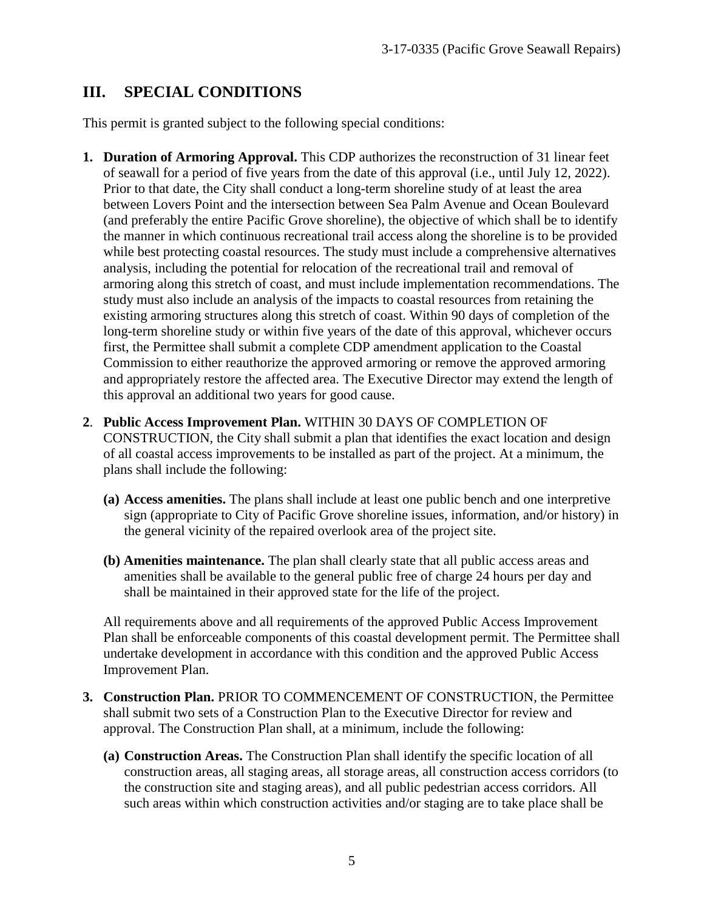# **III. SPECIAL CONDITIONS**

This permit is granted subject to the following special conditions:

- **1. Duration of Armoring Approval.** This CDP authorizes the reconstruction of 31 linear feet of seawall for a period of five years from the date of this approval (i.e., until July 12, 2022). Prior to that date, the City shall conduct a long-term shoreline study of at least the area between Lovers Point and the intersection between Sea Palm Avenue and Ocean Boulevard (and preferably the entire Pacific Grove shoreline), the objective of which shall be to identify the manner in which continuous recreational trail access along the shoreline is to be provided while best protecting coastal resources. The study must include a comprehensive alternatives analysis, including the potential for relocation of the recreational trail and removal of armoring along this stretch of coast, and must include implementation recommendations. The study must also include an analysis of the impacts to coastal resources from retaining the existing armoring structures along this stretch of coast. Within 90 days of completion of the long-term shoreline study or within five years of the date of this approval, whichever occurs first, the Permittee shall submit a complete CDP amendment application to the Coastal Commission to either reauthorize the approved armoring or remove the approved armoring and appropriately restore the affected area. The Executive Director may extend the length of this approval an additional two years for good cause.
- **2**. **Public Access Improvement Plan.** WITHIN 30 DAYS OF COMPLETION OF CONSTRUCTION, the City shall submit a plan that identifies the exact location and design of all coastal access improvements to be installed as part of the project. At a minimum, the plans shall include the following:
	- **(a) Access amenities.** The plans shall include at least one public bench and one interpretive sign (appropriate to City of Pacific Grove shoreline issues, information, and/or history) in the general vicinity of the repaired overlook area of the project site.
	- **(b) Amenities maintenance.** The plan shall clearly state that all public access areas and amenities shall be available to the general public free of charge 24 hours per day and shall be maintained in their approved state for the life of the project.

All requirements above and all requirements of the approved Public Access Improvement Plan shall be enforceable components of this coastal development permit. The Permittee shall undertake development in accordance with this condition and the approved Public Access Improvement Plan.

- **3. Construction Plan.** PRIOR TO COMMENCEMENT OF CONSTRUCTION, the Permittee shall submit two sets of a Construction Plan to the Executive Director for review and approval. The Construction Plan shall, at a minimum, include the following:
	- **(a) Construction Areas.** The Construction Plan shall identify the specific location of all construction areas, all staging areas, all storage areas, all construction access corridors (to the construction site and staging areas), and all public pedestrian access corridors. All such areas within which construction activities and/or staging are to take place shall be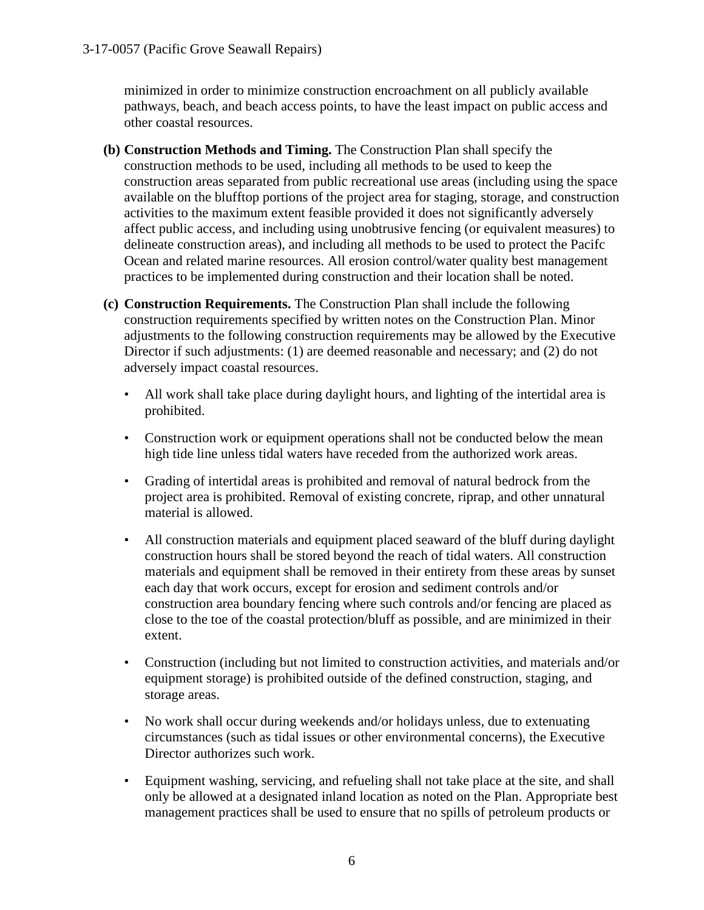minimized in order to minimize construction encroachment on all publicly available pathways, beach, and beach access points, to have the least impact on public access and other coastal resources.

- **(b) Construction Methods and Timing.** The Construction Plan shall specify the construction methods to be used, including all methods to be used to keep the construction areas separated from public recreational use areas (including using the space available on the blufftop portions of the project area for staging, storage, and construction activities to the maximum extent feasible provided it does not significantly adversely affect public access, and including using unobtrusive fencing (or equivalent measures) to delineate construction areas), and including all methods to be used to protect the Pacifc Ocean and related marine resources. All erosion control/water quality best management practices to be implemented during construction and their location shall be noted.
- **(c) Construction Requirements.** The Construction Plan shall include the following construction requirements specified by written notes on the Construction Plan. Minor adjustments to the following construction requirements may be allowed by the Executive Director if such adjustments: (1) are deemed reasonable and necessary; and (2) do not adversely impact coastal resources.
	- All work shall take place during daylight hours, and lighting of the intertidal area is prohibited.
	- Construction work or equipment operations shall not be conducted below the mean high tide line unless tidal waters have receded from the authorized work areas.
	- Grading of intertidal areas is prohibited and removal of natural bedrock from the project area is prohibited. Removal of existing concrete, riprap, and other unnatural material is allowed.
	- All construction materials and equipment placed seaward of the bluff during daylight construction hours shall be stored beyond the reach of tidal waters. All construction materials and equipment shall be removed in their entirety from these areas by sunset each day that work occurs, except for erosion and sediment controls and/or construction area boundary fencing where such controls and/or fencing are placed as close to the toe of the coastal protection/bluff as possible, and are minimized in their extent.
	- Construction (including but not limited to construction activities, and materials and/or equipment storage) is prohibited outside of the defined construction, staging, and storage areas.
	- No work shall occur during weekends and/or holidays unless, due to extenuating circumstances (such as tidal issues or other environmental concerns), the Executive Director authorizes such work.
	- Equipment washing, servicing, and refueling shall not take place at the site, and shall only be allowed at a designated inland location as noted on the Plan. Appropriate best management practices shall be used to ensure that no spills of petroleum products or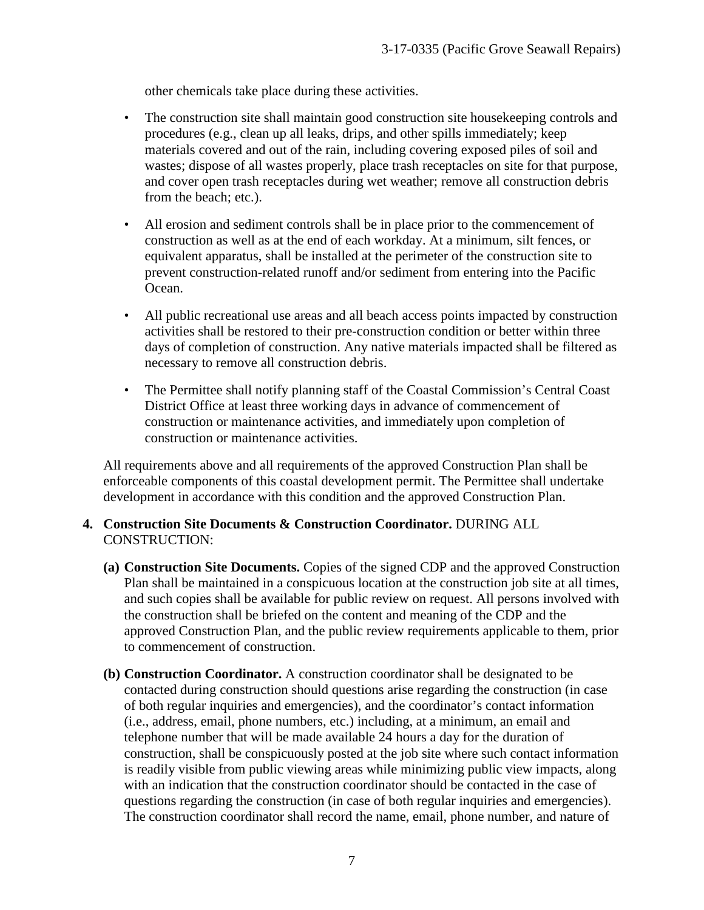other chemicals take place during these activities.

- The construction site shall maintain good construction site house keeping controls and procedures (e.g., clean up all leaks, drips, and other spills immediately; keep materials covered and out of the rain, including covering exposed piles of soil and wastes; dispose of all wastes properly, place trash receptacles on site for that purpose, and cover open trash receptacles during wet weather; remove all construction debris from the beach; etc.).
- All erosion and sediment controls shall be in place prior to the commencement of construction as well as at the end of each workday. At a minimum, silt fences, or equivalent apparatus, shall be installed at the perimeter of the construction site to prevent construction-related runoff and/or sediment from entering into the Pacific Ocean.
- All public recreational use areas and all beach access points impacted by construction activities shall be restored to their pre-construction condition or better within three days of completion of construction. Any native materials impacted shall be filtered as necessary to remove all construction debris.
- The Permittee shall notify planning staff of the Coastal Commission's Central Coast District Office at least three working days in advance of commencement of construction or maintenance activities, and immediately upon completion of construction or maintenance activities.

All requirements above and all requirements of the approved Construction Plan shall be enforceable components of this coastal development permit. The Permittee shall undertake development in accordance with this condition and the approved Construction Plan.

#### **4. Construction Site Documents & Construction Coordinator.** DURING ALL CONSTRUCTION:

- **(a) Construction Site Documents.** Copies of the signed CDP and the approved Construction Plan shall be maintained in a conspicuous location at the construction job site at all times, and such copies shall be available for public review on request. All persons involved with the construction shall be briefed on the content and meaning of the CDP and the approved Construction Plan, and the public review requirements applicable to them, prior to commencement of construction.
- **(b) Construction Coordinator.** A construction coordinator shall be designated to be contacted during construction should questions arise regarding the construction (in case of both regular inquiries and emergencies), and the coordinator's contact information (i.e., address, email, phone numbers, etc.) including, at a minimum, an email and telephone number that will be made available 24 hours a day for the duration of construction, shall be conspicuously posted at the job site where such contact information is readily visible from public viewing areas while minimizing public view impacts, along with an indication that the construction coordinator should be contacted in the case of questions regarding the construction (in case of both regular inquiries and emergencies). The construction coordinator shall record the name, email, phone number, and nature of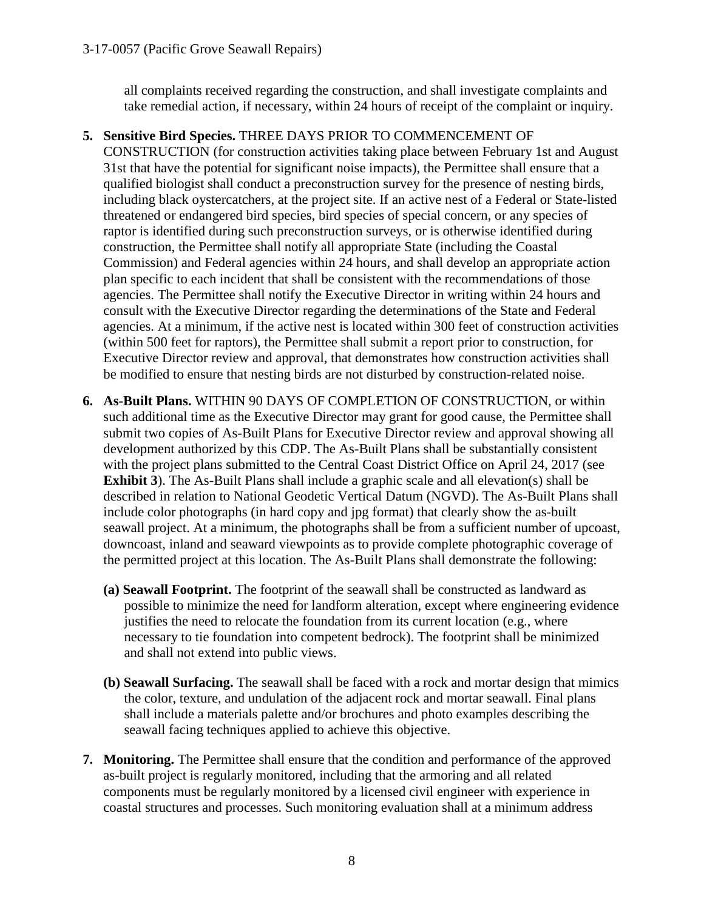all complaints received regarding the construction, and shall investigate complaints and take remedial action, if necessary, within 24 hours of receipt of the complaint or inquiry.

#### **5. Sensitive Bird Species.** THREE DAYS PRIOR TO COMMENCEMENT OF

CONSTRUCTION (for construction activities taking place between February 1st and August 31st that have the potential for significant noise impacts), the Permittee shall ensure that a qualified biologist shall conduct a preconstruction survey for the presence of nesting birds, including black oystercatchers, at the project site. If an active nest of a Federal or State-listed threatened or endangered bird species, bird species of special concern, or any species of raptor is identified during such preconstruction surveys, or is otherwise identified during construction, the Permittee shall notify all appropriate State (including the Coastal Commission) and Federal agencies within 24 hours, and shall develop an appropriate action plan specific to each incident that shall be consistent with the recommendations of those agencies. The Permittee shall notify the Executive Director in writing within 24 hours and consult with the Executive Director regarding the determinations of the State and Federal agencies. At a minimum, if the active nest is located within 300 feet of construction activities (within 500 feet for raptors), the Permittee shall submit a report prior to construction, for Executive Director review and approval, that demonstrates how construction activities shall be modified to ensure that nesting birds are not disturbed by construction-related noise.

- **6. As-Built Plans.** WITHIN 90 DAYS OF COMPLETION OF CONSTRUCTION, or within such additional time as the Executive Director may grant for good cause, the Permittee shall submit two copies of As-Built Plans for Executive Director review and approval showing all development authorized by this CDP. The As-Built Plans shall be substantially consistent with the project plans submitted to the Central Coast District Office on April 24, 2017 (see **Exhibit 3**). The As-Built Plans shall include a graphic scale and all elevation(s) shall be described in relation to National Geodetic Vertical Datum (NGVD). The As-Built Plans shall include color photographs (in hard copy and jpg format) that clearly show the as-built seawall project. At a minimum, the photographs shall be from a sufficient number of upcoast, downcoast, inland and seaward viewpoints as to provide complete photographic coverage of the permitted project at this location. The As-Built Plans shall demonstrate the following:
	- **(a) Seawall Footprint.** The footprint of the seawall shall be constructed as landward as possible to minimize the need for landform alteration, except where engineering evidence justifies the need to relocate the foundation from its current location (e.g., where necessary to tie foundation into competent bedrock). The footprint shall be minimized and shall not extend into public views.
	- **(b) Seawall Surfacing.** The seawall shall be faced with a rock and mortar design that mimics the color, texture, and undulation of the adjacent rock and mortar seawall. Final plans shall include a materials palette and/or brochures and photo examples describing the seawall facing techniques applied to achieve this objective.
- **7. Monitoring.** The Permittee shall ensure that the condition and performance of the approved as-built project is regularly monitored, including that the armoring and all related components must be regularly monitored by a licensed civil engineer with experience in coastal structures and processes. Such monitoring evaluation shall at a minimum address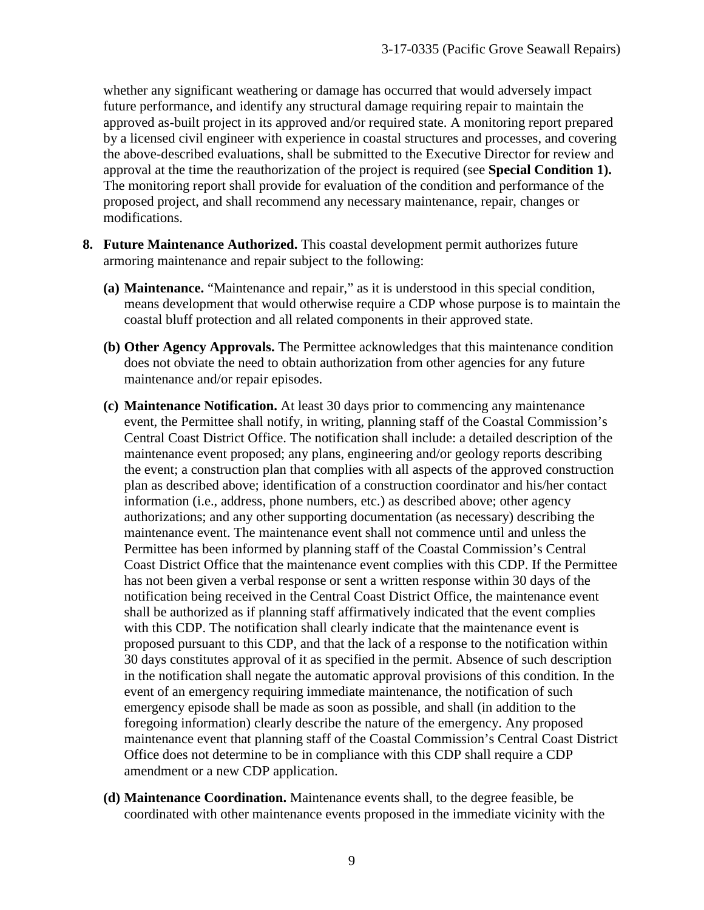whether any significant weathering or damage has occurred that would adversely impact future performance, and identify any structural damage requiring repair to maintain the approved as-built project in its approved and/or required state. A monitoring report prepared by a licensed civil engineer with experience in coastal structures and processes, and covering the above-described evaluations, shall be submitted to the Executive Director for review and approval at the time the reauthorization of the project is required (see **Special Condition 1).** The monitoring report shall provide for evaluation of the condition and performance of the proposed project, and shall recommend any necessary maintenance, repair, changes or modifications.

- **8. Future Maintenance Authorized.** This coastal development permit authorizes future armoring maintenance and repair subject to the following:
	- **(a) Maintenance.** "Maintenance and repair," as it is understood in this special condition, means development that would otherwise require a CDP whose purpose is to maintain the coastal bluff protection and all related components in their approved state.
	- **(b) Other Agency Approvals.** The Permittee acknowledges that this maintenance condition does not obviate the need to obtain authorization from other agencies for any future maintenance and/or repair episodes.
	- **(c) Maintenance Notification.** At least 30 days prior to commencing any maintenance event, the Permittee shall notify, in writing, planning staff of the Coastal Commission's Central Coast District Office. The notification shall include: a detailed description of the maintenance event proposed; any plans, engineering and/or geology reports describing the event; a construction plan that complies with all aspects of the approved construction plan as described above; identification of a construction coordinator and his/her contact information (i.e., address, phone numbers, etc.) as described above; other agency authorizations; and any other supporting documentation (as necessary) describing the maintenance event. The maintenance event shall not commence until and unless the Permittee has been informed by planning staff of the Coastal Commission's Central Coast District Office that the maintenance event complies with this CDP. If the Permittee has not been given a verbal response or sent a written response within 30 days of the notification being received in the Central Coast District Office, the maintenance event shall be authorized as if planning staff affirmatively indicated that the event complies with this CDP. The notification shall clearly indicate that the maintenance event is proposed pursuant to this CDP, and that the lack of a response to the notification within 30 days constitutes approval of it as specified in the permit. Absence of such description in the notification shall negate the automatic approval provisions of this condition. In the event of an emergency requiring immediate maintenance, the notification of such emergency episode shall be made as soon as possible, and shall (in addition to the foregoing information) clearly describe the nature of the emergency. Any proposed maintenance event that planning staff of the Coastal Commission's Central Coast District Office does not determine to be in compliance with this CDP shall require a CDP amendment or a new CDP application.
	- **(d) Maintenance Coordination.** Maintenance events shall, to the degree feasible, be coordinated with other maintenance events proposed in the immediate vicinity with the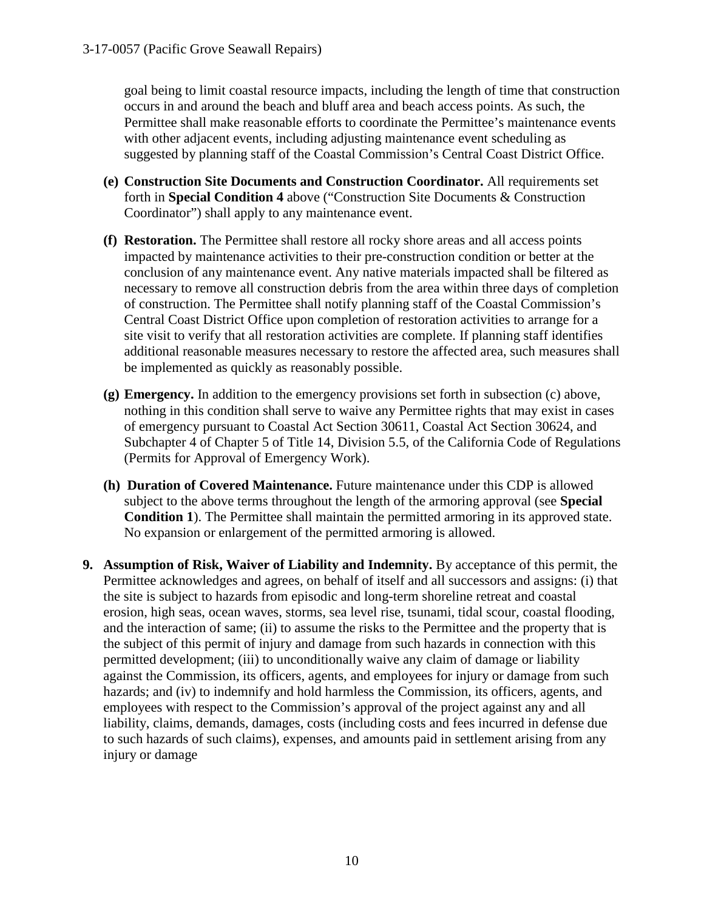goal being to limit coastal resource impacts, including the length of time that construction occurs in and around the beach and bluff area and beach access points. As such, the Permittee shall make reasonable efforts to coordinate the Permittee's maintenance events with other adjacent events, including adjusting maintenance event scheduling as suggested by planning staff of the Coastal Commission's Central Coast District Office.

- **(e) Construction Site Documents and Construction Coordinator.** All requirements set forth in **Special Condition 4** above ("Construction Site Documents & Construction Coordinator") shall apply to any maintenance event.
- **(f) Restoration.** The Permittee shall restore all rocky shore areas and all access points impacted by maintenance activities to their pre-construction condition or better at the conclusion of any maintenance event. Any native materials impacted shall be filtered as necessary to remove all construction debris from the area within three days of completion of construction. The Permittee shall notify planning staff of the Coastal Commission's Central Coast District Office upon completion of restoration activities to arrange for a site visit to verify that all restoration activities are complete. If planning staff identifies additional reasonable measures necessary to restore the affected area, such measures shall be implemented as quickly as reasonably possible.
- **(g) Emergency.** In addition to the emergency provisions set forth in subsection (c) above, nothing in this condition shall serve to waive any Permittee rights that may exist in cases of emergency pursuant to Coastal Act Section 30611, Coastal Act Section 30624, and Subchapter 4 of Chapter 5 of Title 14, Division 5.5, of the California Code of Regulations (Permits for Approval of Emergency Work).
- **(h) Duration of Covered Maintenance.** Future maintenance under this CDP is allowed subject to the above terms throughout the length of the armoring approval (see **Special Condition 1**). The Permittee shall maintain the permitted armoring in its approved state. No expansion or enlargement of the permitted armoring is allowed.
- **9. Assumption of Risk, Waiver of Liability and Indemnity.** By acceptance of this permit, the Permittee acknowledges and agrees, on behalf of itself and all successors and assigns: (i) that the site is subject to hazards from episodic and long-term shoreline retreat and coastal erosion, high seas, ocean waves, storms, sea level rise, tsunami, tidal scour, coastal flooding, and the interaction of same; (ii) to assume the risks to the Permittee and the property that is the subject of this permit of injury and damage from such hazards in connection with this permitted development; (iii) to unconditionally waive any claim of damage or liability against the Commission, its officers, agents, and employees for injury or damage from such hazards; and (iv) to indemnify and hold harmless the Commission, its officers, agents, and employees with respect to the Commission's approval of the project against any and all liability, claims, demands, damages, costs (including costs and fees incurred in defense due to such hazards of such claims), expenses, and amounts paid in settlement arising from any injury or damage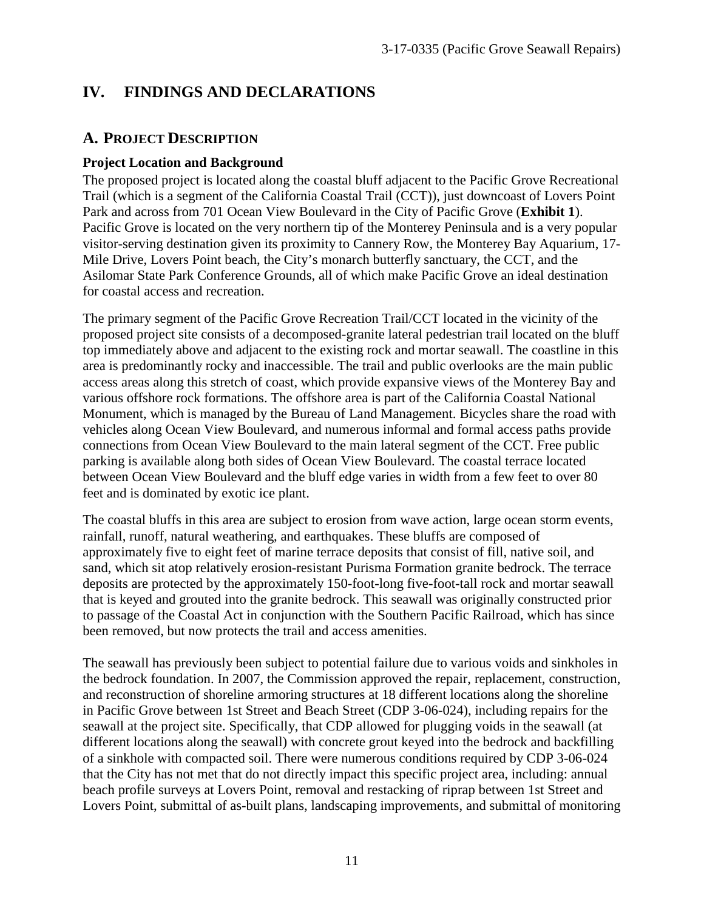# **IV. FINDINGS AND DECLARATIONS**

### **A. PROJECT DESCRIPTION**

#### **Project Location and Background**

The proposed project is located along the coastal bluff adjacent to the Pacific Grove Recreational Trail (which is a segment of the California Coastal Trail (CCT)), just downcoast of Lovers Point Park and across from 701 Ocean View Boulevard in the City of Pacific Grove (**Exhibit 1**). Pacific Grove is located on the very northern tip of the Monterey Peninsula and is a very popular visitor-serving destination given its proximity to Cannery Row, the Monterey Bay Aquarium, 17- Mile Drive, Lovers Point beach, the City's monarch butterfly sanctuary, the CCT, and the Asilomar State Park Conference Grounds, all of which make Pacific Grove an ideal destination for coastal access and recreation.

The primary segment of the Pacific Grove Recreation Trail/CCT located in the vicinity of the proposed project site consists of a decomposed-granite lateral pedestrian trail located on the bluff top immediately above and adjacent to the existing rock and mortar seawall. The coastline in this area is predominantly rocky and inaccessible. The trail and public overlooks are the main public access areas along this stretch of coast, which provide expansive views of the Monterey Bay and various offshore rock formations. The offshore area is part of the California Coastal National Monument, which is managed by the Bureau of Land Management. Bicycles share the road with vehicles along Ocean View Boulevard, and numerous informal and formal access paths provide connections from Ocean View Boulevard to the main lateral segment of the CCT. Free public parking is available along both sides of Ocean View Boulevard. The coastal terrace located between Ocean View Boulevard and the bluff edge varies in width from a few feet to over 80 feet and is dominated by exotic ice plant.

The coastal bluffs in this area are subject to erosion from wave action, large ocean storm events, rainfall, runoff, natural weathering, and earthquakes. These bluffs are composed of approximately five to eight feet of marine terrace deposits that consist of fill, native soil, and sand, which sit atop relatively erosion-resistant Purisma Formation granite bedrock. The terrace deposits are protected by the approximately 150-foot-long five-foot-tall rock and mortar seawall that is keyed and grouted into the granite bedrock. This seawall was originally constructed prior to passage of the Coastal Act in conjunction with the Southern Pacific Railroad, which has since been removed, but now protects the trail and access amenities.

The seawall has previously been subject to potential failure due to various voids and sinkholes in the bedrock foundation. In 2007, the Commission approved the repair, replacement, construction, and reconstruction of shoreline armoring structures at 18 different locations along the shoreline in Pacific Grove between 1st Street and Beach Street (CDP 3-06-024), including repairs for the seawall at the project site. Specifically, that CDP allowed for plugging voids in the seawall (at different locations along the seawall) with concrete grout keyed into the bedrock and backfilling of a sinkhole with compacted soil. There were numerous conditions required by CDP 3-06-024 that the City has not met that do not directly impact this specific project area, including: annual beach profile surveys at Lovers Point, removal and restacking of riprap between 1st Street and Lovers Point, submittal of as-built plans, landscaping improvements, and submittal of monitoring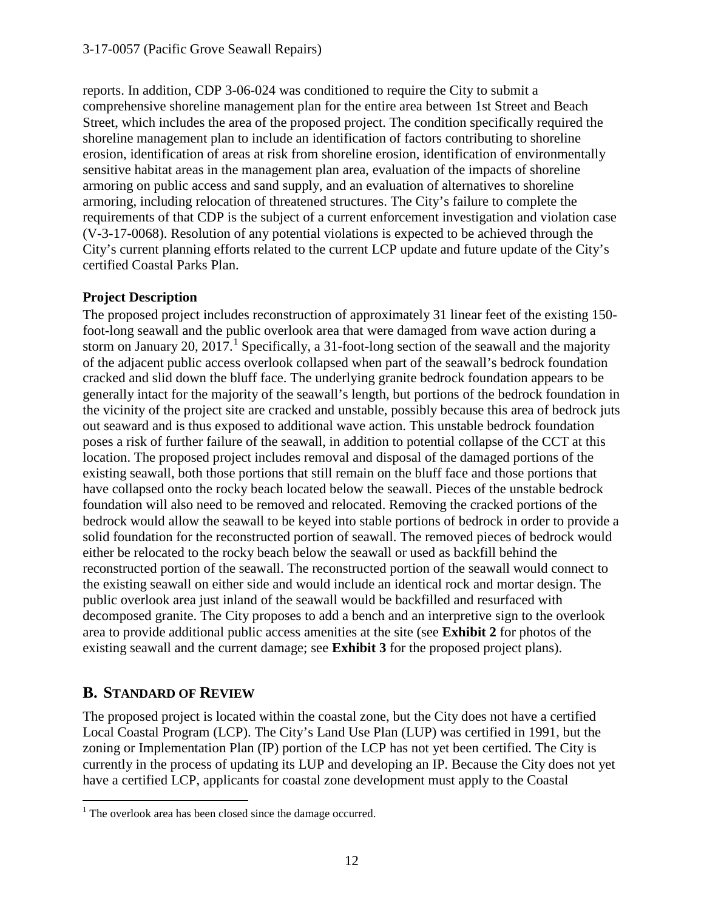reports. In addition, CDP 3-06-024 was conditioned to require the City to submit a comprehensive shoreline management plan for the entire area between 1st Street and Beach Street, which includes the area of the proposed project. The condition specifically required the shoreline management plan to include an identification of factors contributing to shoreline erosion, identification of areas at risk from shoreline erosion, identification of environmentally sensitive habitat areas in the management plan area, evaluation of the impacts of shoreline armoring on public access and sand supply, and an evaluation of alternatives to shoreline armoring, including relocation of threatened structures. The City's failure to complete the requirements of that CDP is the subject of a current enforcement investigation and violation case (V-3-17-0068). Resolution of any potential violations is expected to be achieved through the City's current planning efforts related to the current LCP update and future update of the City's certified Coastal Parks Plan.

#### **Project Description**

The proposed project includes reconstruction of approximately 31 linear feet of the existing 150 foot-long seawall and the public overlook area that were damaged from wave action during a storm on January 20, 20[1](#page-11-0)7.<sup>1</sup> Specifically, a 31-foot-long section of the seawall and the majority of the adjacent public access overlook collapsed when part of the seawall's bedrock foundation cracked and slid down the bluff face. The underlying granite bedrock foundation appears to be generally intact for the majority of the seawall's length, but portions of the bedrock foundation in the vicinity of the project site are cracked and unstable, possibly because this area of bedrock juts out seaward and is thus exposed to additional wave action. This unstable bedrock foundation poses a risk of further failure of the seawall, in addition to potential collapse of the CCT at this location. The proposed project includes removal and disposal of the damaged portions of the existing seawall, both those portions that still remain on the bluff face and those portions that have collapsed onto the rocky beach located below the seawall. Pieces of the unstable bedrock foundation will also need to be removed and relocated. Removing the cracked portions of the bedrock would allow the seawall to be keyed into stable portions of bedrock in order to provide a solid foundation for the reconstructed portion of seawall. The removed pieces of bedrock would either be relocated to the rocky beach below the seawall or used as backfill behind the reconstructed portion of the seawall. The reconstructed portion of the seawall would connect to the existing seawall on either side and would include an identical rock and mortar design. The public overlook area just inland of the seawall would be backfilled and resurfaced with decomposed granite. The City proposes to add a bench and an interpretive sign to the overlook area to provide additional public access amenities at the site (see **Exhibit 2** for photos of the existing seawall and the current damage; see **Exhibit 3** for the proposed project plans).

## **B. STANDARD OF REVIEW**

The proposed project is located within the coastal zone, but the City does not have a certified Local Coastal Program (LCP). The City's Land Use Plan (LUP) was certified in 1991, but the zoning or Implementation Plan (IP) portion of the LCP has not yet been certified. The City is currently in the process of updating its LUP and developing an IP. Because the City does not yet have a certified LCP, applicants for coastal zone development must apply to the Coastal

<span id="page-11-0"></span> $\overline{a}$ <sup>1</sup> The overlook area has been closed since the damage occurred.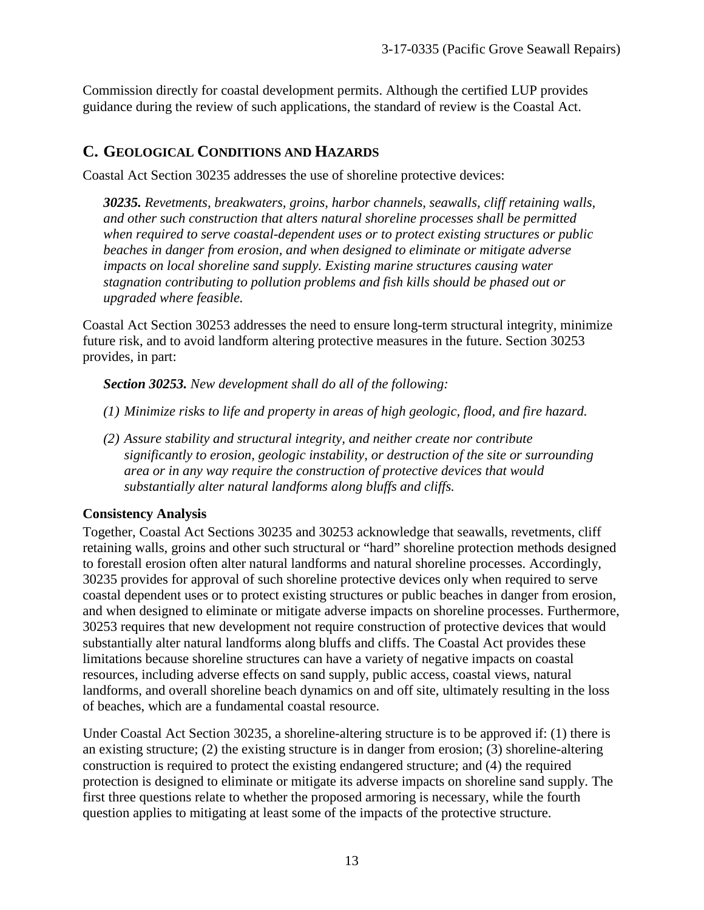Commission directly for coastal development permits. Although the certified LUP provides guidance during the review of such applications, the standard of review is the Coastal Act.

## **C. GEOLOGICAL CONDITIONS AND HAZARDS**

Coastal Act Section 30235 addresses the use of shoreline protective devices:

*30235. Revetments, breakwaters, groins, harbor channels, seawalls, cliff retaining walls, and other such construction that alters natural shoreline processes shall be permitted when required to serve coastal-dependent uses or to protect existing structures or public beaches in danger from erosion, and when designed to eliminate or mitigate adverse impacts on local shoreline sand supply. Existing marine structures causing water stagnation contributing to pollution problems and fish kills should be phased out or upgraded where feasible.* 

Coastal Act Section 30253 addresses the need to ensure long-term structural integrity, minimize future risk, and to avoid landform altering protective measures in the future. Section 30253 provides, in part:

*Section 30253. New development shall do all of the following:* 

- *(1) Minimize risks to life and property in areas of high geologic, flood, and fire hazard.*
- *(2) Assure stability and structural integrity, and neither create nor contribute significantly to erosion, geologic instability, or destruction of the site or surrounding area or in any way require the construction of protective devices that would substantially alter natural landforms along bluffs and cliffs.*

#### **Consistency Analysis**

Together, Coastal Act Sections 30235 and 30253 acknowledge that seawalls, revetments, cliff retaining walls, groins and other such structural or "hard" shoreline protection methods designed to forestall erosion often alter natural landforms and natural shoreline processes. Accordingly, 30235 provides for approval of such shoreline protective devices only when required to serve coastal dependent uses or to protect existing structures or public beaches in danger from erosion, and when designed to eliminate or mitigate adverse impacts on shoreline processes. Furthermore, 30253 requires that new development not require construction of protective devices that would substantially alter natural landforms along bluffs and cliffs. The Coastal Act provides these limitations because shoreline structures can have a variety of negative impacts on coastal resources, including adverse effects on sand supply, public access, coastal views, natural landforms, and overall shoreline beach dynamics on and off site, ultimately resulting in the loss of beaches, which are a fundamental coastal resource.

Under Coastal Act Section 30235, a shoreline-altering structure is to be approved if: (1) there is an existing structure; (2) the existing structure is in danger from erosion; (3) shoreline-altering construction is required to protect the existing endangered structure; and (4) the required protection is designed to eliminate or mitigate its adverse impacts on shoreline sand supply. The first three questions relate to whether the proposed armoring is necessary, while the fourth question applies to mitigating at least some of the impacts of the protective structure.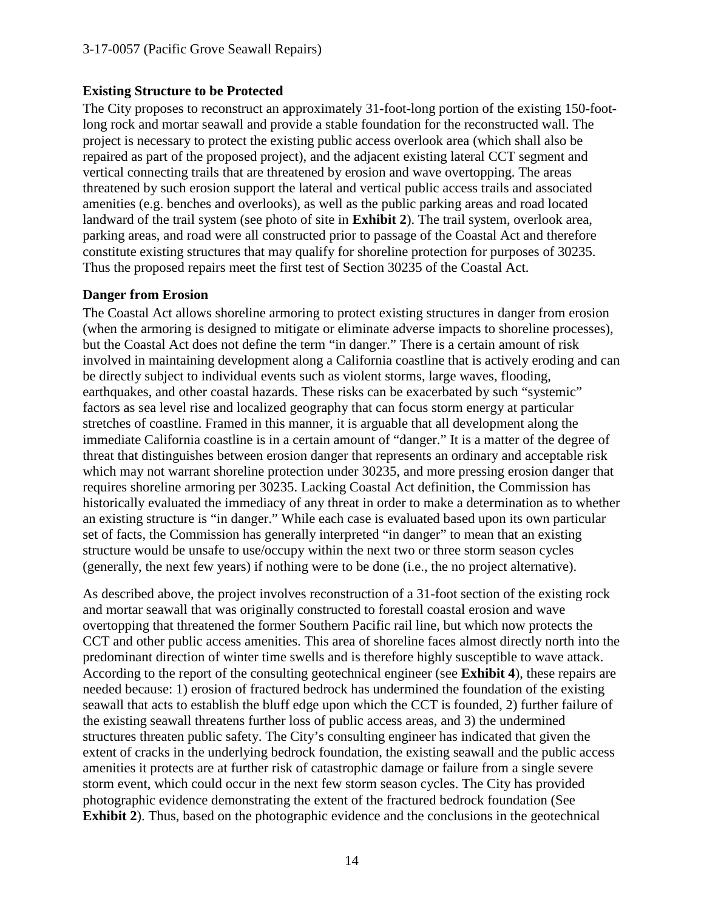#### **Existing Structure to be Protected**

The City proposes to reconstruct an approximately 31-foot-long portion of the existing 150-footlong rock and mortar seawall and provide a stable foundation for the reconstructed wall. The project is necessary to protect the existing public access overlook area (which shall also be repaired as part of the proposed project), and the adjacent existing lateral CCT segment and vertical connecting trails that are threatened by erosion and wave overtopping. The areas threatened by such erosion support the lateral and vertical public access trails and associated amenities (e.g. benches and overlooks), as well as the public parking areas and road located landward of the trail system (see photo of site in **Exhibit 2**). The trail system, overlook area, parking areas, and road were all constructed prior to passage of the Coastal Act and therefore constitute existing structures that may qualify for shoreline protection for purposes of 30235. Thus the proposed repairs meet the first test of Section 30235 of the Coastal Act.

#### **Danger from Erosion**

The Coastal Act allows shoreline armoring to protect existing structures in danger from erosion (when the armoring is designed to mitigate or eliminate adverse impacts to shoreline processes), but the Coastal Act does not define the term "in danger." There is a certain amount of risk involved in maintaining development along a California coastline that is actively eroding and can be directly subject to individual events such as violent storms, large waves, flooding, earthquakes, and other coastal hazards. These risks can be exacerbated by such "systemic" factors as sea level rise and localized geography that can focus storm energy at particular stretches of coastline. Framed in this manner, it is arguable that all development along the immediate California coastline is in a certain amount of "danger." It is a matter of the degree of threat that distinguishes between erosion danger that represents an ordinary and acceptable risk which may not warrant shoreline protection under 30235, and more pressing erosion danger that requires shoreline armoring per 30235. Lacking Coastal Act definition, the Commission has historically evaluated the immediacy of any threat in order to make a determination as to whether an existing structure is "in danger." While each case is evaluated based upon its own particular set of facts, the Commission has generally interpreted "in danger" to mean that an existing structure would be unsafe to use/occupy within the next two or three storm season cycles (generally, the next few years) if nothing were to be done (i.e., the no project alternative).

As described above, the project involves reconstruction of a 31-foot section of the existing rock and mortar seawall that was originally constructed to forestall coastal erosion and wave overtopping that threatened the former Southern Pacific rail line, but which now protects the CCT and other public access amenities. This area of shoreline faces almost directly north into the predominant direction of winter time swells and is therefore highly susceptible to wave attack. According to the report of the consulting geotechnical engineer (see **Exhibit 4**), these repairs are needed because: 1) erosion of fractured bedrock has undermined the foundation of the existing seawall that acts to establish the bluff edge upon which the CCT is founded, 2) further failure of the existing seawall threatens further loss of public access areas, and 3) the undermined structures threaten public safety. The City's consulting engineer has indicated that given the extent of cracks in the underlying bedrock foundation, the existing seawall and the public access amenities it protects are at further risk of catastrophic damage or failure from a single severe storm event, which could occur in the next few storm season cycles. The City has provided photographic evidence demonstrating the extent of the fractured bedrock foundation (See **Exhibit 2**). Thus, based on the photographic evidence and the conclusions in the geotechnical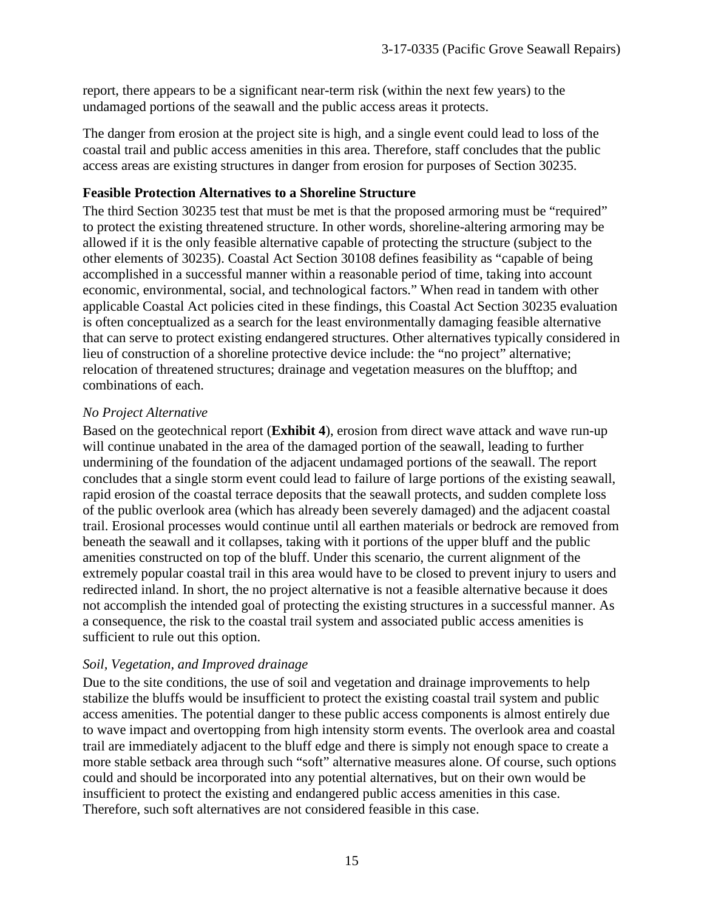report, there appears to be a significant near-term risk (within the next few years) to the undamaged portions of the seawall and the public access areas it protects.

The danger from erosion at the project site is high, and a single event could lead to loss of the coastal trail and public access amenities in this area. Therefore, staff concludes that the public access areas are existing structures in danger from erosion for purposes of Section 30235.

#### **Feasible Protection Alternatives to a Shoreline Structure**

The third Section 30235 test that must be met is that the proposed armoring must be "required" to protect the existing threatened structure. In other words, shoreline-altering armoring may be allowed if it is the only feasible alternative capable of protecting the structure (subject to the other elements of 30235). Coastal Act Section 30108 defines feasibility as "capable of being accomplished in a successful manner within a reasonable period of time, taking into account economic, environmental, social, and technological factors." When read in tandem with other applicable Coastal Act policies cited in these findings, this Coastal Act Section 30235 evaluation is often conceptualized as a search for the least environmentally damaging feasible alternative that can serve to protect existing endangered structures. Other alternatives typically considered in lieu of construction of a shoreline protective device include: the "no project" alternative; relocation of threatened structures; drainage and vegetation measures on the blufftop; and combinations of each.

#### *No Project Alternative*

Based on the geotechnical report (**Exhibit 4**), erosion from direct wave attack and wave run-up will continue unabated in the area of the damaged portion of the seawall, leading to further undermining of the foundation of the adjacent undamaged portions of the seawall. The report concludes that a single storm event could lead to failure of large portions of the existing seawall, rapid erosion of the coastal terrace deposits that the seawall protects, and sudden complete loss of the public overlook area (which has already been severely damaged) and the adjacent coastal trail. Erosional processes would continue until all earthen materials or bedrock are removed from beneath the seawall and it collapses, taking with it portions of the upper bluff and the public amenities constructed on top of the bluff. Under this scenario, the current alignment of the extremely popular coastal trail in this area would have to be closed to prevent injury to users and redirected inland. In short, the no project alternative is not a feasible alternative because it does not accomplish the intended goal of protecting the existing structures in a successful manner. As a consequence, the risk to the coastal trail system and associated public access amenities is sufficient to rule out this option.

#### *Soil, Vegetation, and Improved drainage*

Due to the site conditions, the use of soil and vegetation and drainage improvements to help stabilize the bluffs would be insufficient to protect the existing coastal trail system and public access amenities. The potential danger to these public access components is almost entirely due to wave impact and overtopping from high intensity storm events. The overlook area and coastal trail are immediately adjacent to the bluff edge and there is simply not enough space to create a more stable setback area through such "soft" alternative measures alone. Of course, such options could and should be incorporated into any potential alternatives, but on their own would be insufficient to protect the existing and endangered public access amenities in this case. Therefore, such soft alternatives are not considered feasible in this case.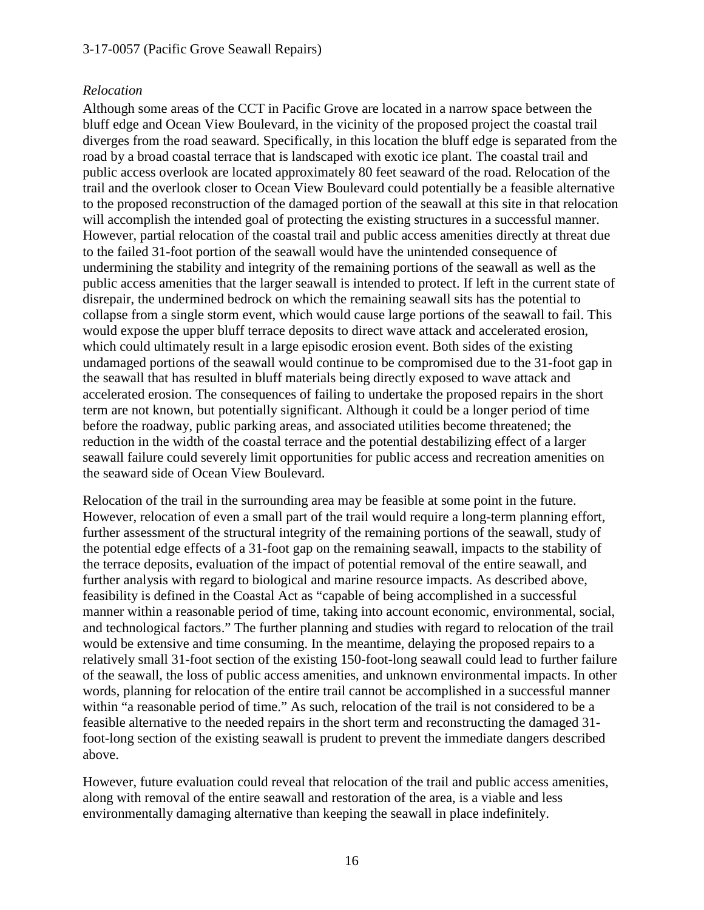#### 3-17-0057 (Pacific Grove Seawall Repairs)

#### *Relocation*

Although some areas of the CCT in Pacific Grove are located in a narrow space between the bluff edge and Ocean View Boulevard, in the vicinity of the proposed project the coastal trail diverges from the road seaward. Specifically, in this location the bluff edge is separated from the road by a broad coastal terrace that is landscaped with exotic ice plant. The coastal trail and public access overlook are located approximately 80 feet seaward of the road. Relocation of the trail and the overlook closer to Ocean View Boulevard could potentially be a feasible alternative to the proposed reconstruction of the damaged portion of the seawall at this site in that relocation will accomplish the intended goal of protecting the existing structures in a successful manner. However, partial relocation of the coastal trail and public access amenities directly at threat due to the failed 31-foot portion of the seawall would have the unintended consequence of undermining the stability and integrity of the remaining portions of the seawall as well as the public access amenities that the larger seawall is intended to protect. If left in the current state of disrepair, the undermined bedrock on which the remaining seawall sits has the potential to collapse from a single storm event, which would cause large portions of the seawall to fail. This would expose the upper bluff terrace deposits to direct wave attack and accelerated erosion, which could ultimately result in a large episodic erosion event. Both sides of the existing undamaged portions of the seawall would continue to be compromised due to the 31-foot gap in the seawall that has resulted in bluff materials being directly exposed to wave attack and accelerated erosion. The consequences of failing to undertake the proposed repairs in the short term are not known, but potentially significant. Although it could be a longer period of time before the roadway, public parking areas, and associated utilities become threatened; the reduction in the width of the coastal terrace and the potential destabilizing effect of a larger seawall failure could severely limit opportunities for public access and recreation amenities on the seaward side of Ocean View Boulevard.

Relocation of the trail in the surrounding area may be feasible at some point in the future. However, relocation of even a small part of the trail would require a long-term planning effort, further assessment of the structural integrity of the remaining portions of the seawall, study of the potential edge effects of a 31-foot gap on the remaining seawall, impacts to the stability of the terrace deposits, evaluation of the impact of potential removal of the entire seawall, and further analysis with regard to biological and marine resource impacts. As described above, feasibility is defined in the Coastal Act as "capable of being accomplished in a successful manner within a reasonable period of time, taking into account economic, environmental, social, and technological factors." The further planning and studies with regard to relocation of the trail would be extensive and time consuming. In the meantime, delaying the proposed repairs to a relatively small 31-foot section of the existing 150-foot-long seawall could lead to further failure of the seawall, the loss of public access amenities, and unknown environmental impacts. In other words, planning for relocation of the entire trail cannot be accomplished in a successful manner within "a reasonable period of time." As such, relocation of the trail is not considered to be a feasible alternative to the needed repairs in the short term and reconstructing the damaged 31 foot-long section of the existing seawall is prudent to prevent the immediate dangers described above.

However, future evaluation could reveal that relocation of the trail and public access amenities, along with removal of the entire seawall and restoration of the area, is a viable and less environmentally damaging alternative than keeping the seawall in place indefinitely.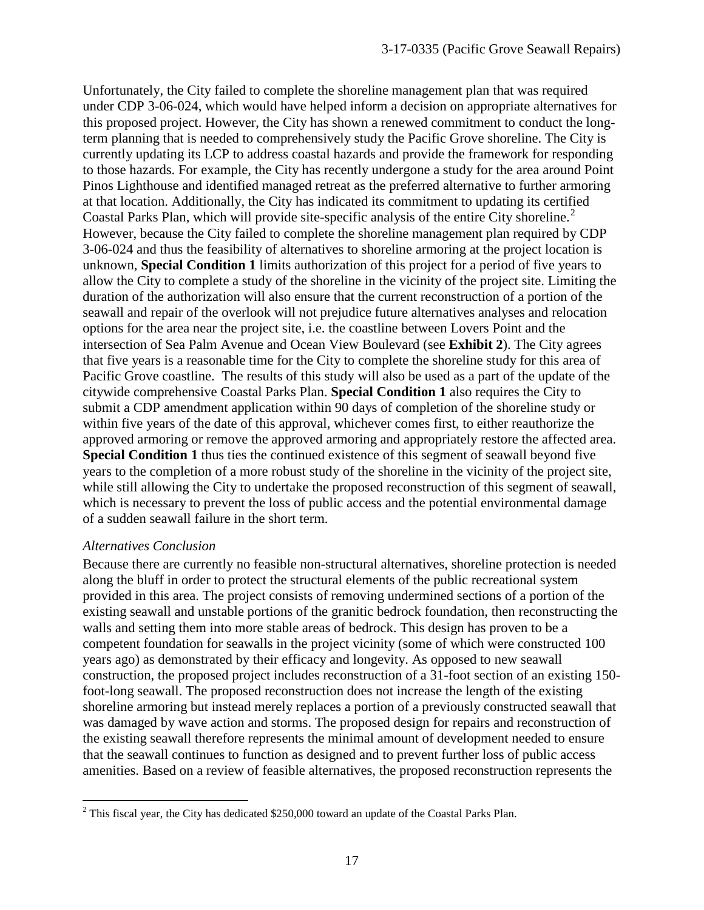Unfortunately, the City failed to complete the shoreline management plan that was required under CDP 3-06-024, which would have helped inform a decision on appropriate alternatives for this proposed project. However, the City has shown a renewed commitment to conduct the longterm planning that is needed to comprehensively study the Pacific Grove shoreline. The City is currently updating its LCP to address coastal hazards and provide the framework for responding to those hazards. For example, the City has recently undergone a study for the area around Point Pinos Lighthouse and identified managed retreat as the preferred alternative to further armoring at that location. Additionally, the City has indicated its commitment to updating its certified Coastal Parks Plan, which will provide site-specific analysis of the entire City shoreline.<sup>[2](#page-16-0)</sup> However, because the City failed to complete the shoreline management plan required by CDP 3-06-024 and thus the feasibility of alternatives to shoreline armoring at the project location is unknown, **Special Condition 1** limits authorization of this project for a period of five years to allow the City to complete a study of the shoreline in the vicinity of the project site. Limiting the duration of the authorization will also ensure that the current reconstruction of a portion of the seawall and repair of the overlook will not prejudice future alternatives analyses and relocation options for the area near the project site, i.e. the coastline between Lovers Point and the intersection of Sea Palm Avenue and Ocean View Boulevard (see **Exhibit 2**). The City agrees that five years is a reasonable time for the City to complete the shoreline study for this area of Pacific Grove coastline. The results of this study will also be used as a part of the update of the citywide comprehensive Coastal Parks Plan. **Special Condition 1** also requires the City to submit a CDP amendment application within 90 days of completion of the shoreline study or within five years of the date of this approval, whichever comes first, to either reauthorize the approved armoring or remove the approved armoring and appropriately restore the affected area. **Special Condition 1** thus ties the continued existence of this segment of seawall beyond five years to the completion of a more robust study of the shoreline in the vicinity of the project site, while still allowing the City to undertake the proposed reconstruction of this segment of seawall, which is necessary to prevent the loss of public access and the potential environmental damage of a sudden seawall failure in the short term.

#### *Alternatives Conclusion*

Because there are currently no feasible non-structural alternatives, shoreline protection is needed along the bluff in order to protect the structural elements of the public recreational system provided in this area. The project consists of removing undermined sections of a portion of the existing seawall and unstable portions of the granitic bedrock foundation, then reconstructing the walls and setting them into more stable areas of bedrock. This design has proven to be a competent foundation for seawalls in the project vicinity (some of which were constructed 100 years ago) as demonstrated by their efficacy and longevity. As opposed to new seawall construction, the proposed project includes reconstruction of a 31-foot section of an existing 150 foot-long seawall. The proposed reconstruction does not increase the length of the existing shoreline armoring but instead merely replaces a portion of a previously constructed seawall that was damaged by wave action and storms. The proposed design for repairs and reconstruction of the existing seawall therefore represents the minimal amount of development needed to ensure that the seawall continues to function as designed and to prevent further loss of public access amenities. Based on a review of feasible alternatives, the proposed reconstruction represents the

<span id="page-16-0"></span> $\overline{a}$ <sup>2</sup> This fiscal year, the City has dedicated \$250,000 toward an update of the Coastal Parks Plan.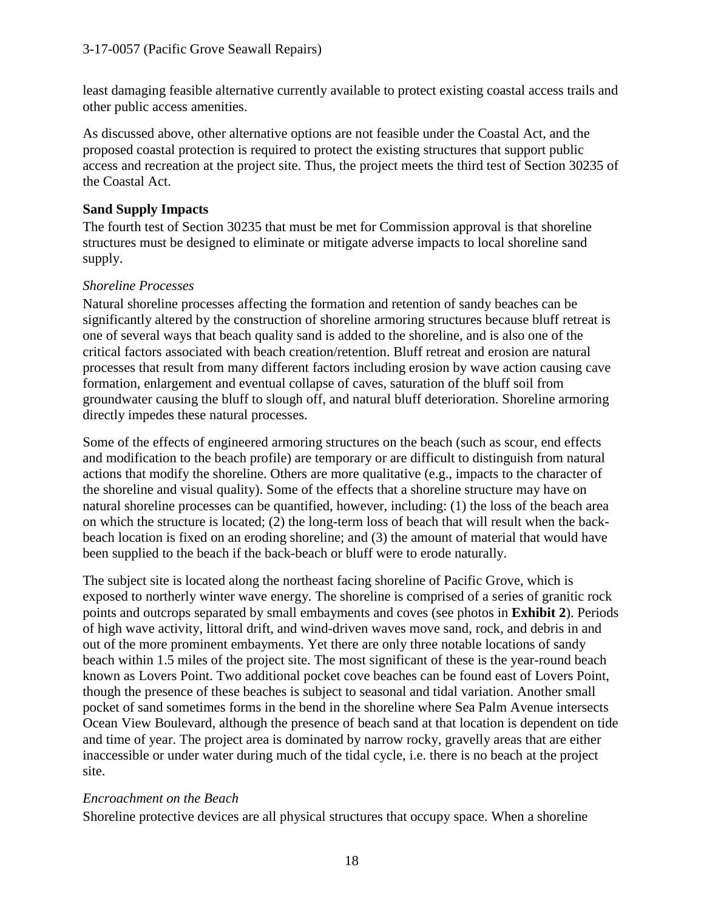least damaging feasible alternative currently available to protect existing coastal access trails and other public access amenities.

As discussed above, other alternative options are not feasible under the Coastal Act, and the proposed coastal protection is required to protect the existing structures that support public access and recreation at the project site. Thus, the project meets the third test of Section 30235 of the Coastal Act.

#### **Sand Supply Impacts**

The fourth test of Section 30235 that must be met for Commission approval is that shoreline structures must be designed to eliminate or mitigate adverse impacts to local shoreline sand supply.

#### *Shoreline Processes*

Natural shoreline processes affecting the formation and retention of sandy beaches can be significantly altered by the construction of shoreline armoring structures because bluff retreat is one of several ways that beach quality sand is added to the shoreline, and is also one of the critical factors associated with beach creation/retention. Bluff retreat and erosion are natural processes that result from many different factors including erosion by wave action causing cave formation, enlargement and eventual collapse of caves, saturation of the bluff soil from groundwater causing the bluff to slough off, and natural bluff deterioration. Shoreline armoring directly impedes these natural processes.

Some of the effects of engineered armoring structures on the beach (such as scour, end effects and modification to the beach profile) are temporary or are difficult to distinguish from natural actions that modify the shoreline. Others are more qualitative (e.g., impacts to the character of the shoreline and visual quality). Some of the effects that a shoreline structure may have on natural shoreline processes can be quantified, however, including: (1) the loss of the beach area on which the structure is located; (2) the long-term loss of beach that will result when the backbeach location is fixed on an eroding shoreline; and (3) the amount of material that would have been supplied to the beach if the back-beach or bluff were to erode naturally.

The subject site is located along the northeast facing shoreline of Pacific Grove, which is exposed to northerly winter wave energy. The shoreline is comprised of a series of granitic rock points and outcrops separated by small embayments and coves (see photos in **Exhibit 2**). Periods of high wave activity, littoral drift, and wind-driven waves move sand, rock, and debris in and out of the more prominent embayments. Yet there are only three notable locations of sandy beach within 1.5 miles of the project site. The most significant of these is the year-round beach known as Lovers Point. Two additional pocket cove beaches can be found east of Lovers Point, though the presence of these beaches is subject to seasonal and tidal variation. Another small pocket of sand sometimes forms in the bend in the shoreline where Sea Palm Avenue intersects Ocean View Boulevard, although the presence of beach sand at that location is dependent on tide and time of year. The project area is dominated by narrow rocky, gravelly areas that are either inaccessible or under water during much of the tidal cycle, i.e. there is no beach at the project site.

#### *Encroachment on the Beach*

Shoreline protective devices are all physical structures that occupy space. When a shoreline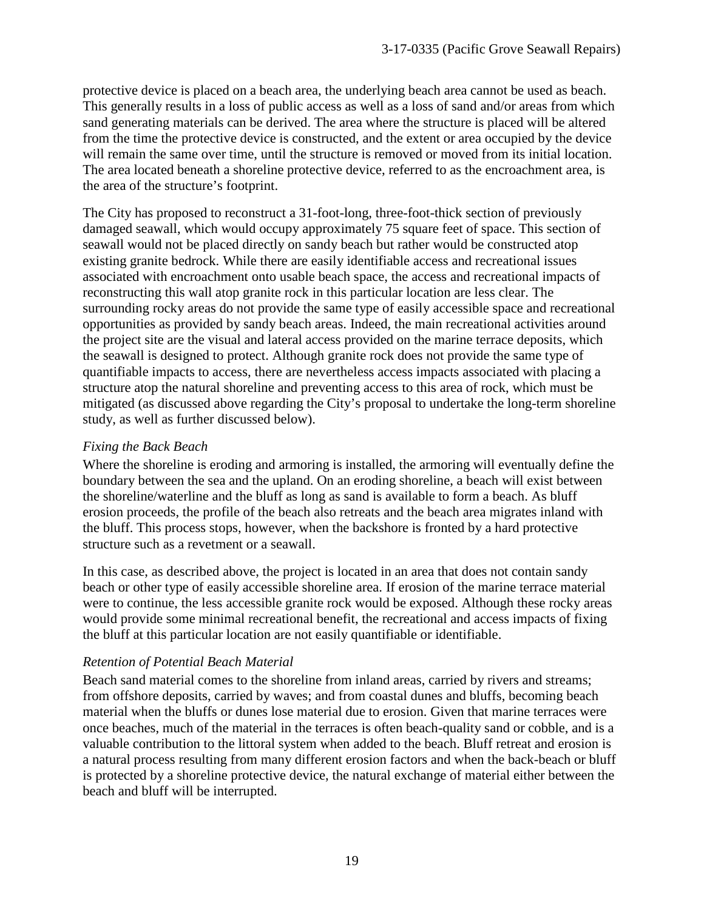protective device is placed on a beach area, the underlying beach area cannot be used as beach. This generally results in a loss of public access as well as a loss of sand and/or areas from which sand generating materials can be derived. The area where the structure is placed will be altered from the time the protective device is constructed, and the extent or area occupied by the device will remain the same over time, until the structure is removed or moved from its initial location. The area located beneath a shoreline protective device, referred to as the encroachment area, is the area of the structure's footprint.

The City has proposed to reconstruct a 31-foot-long, three-foot-thick section of previously damaged seawall, which would occupy approximately 75 square feet of space. This section of seawall would not be placed directly on sandy beach but rather would be constructed atop existing granite bedrock. While there are easily identifiable access and recreational issues associated with encroachment onto usable beach space, the access and recreational impacts of reconstructing this wall atop granite rock in this particular location are less clear. The surrounding rocky areas do not provide the same type of easily accessible space and recreational opportunities as provided by sandy beach areas. Indeed, the main recreational activities around the project site are the visual and lateral access provided on the marine terrace deposits, which the seawall is designed to protect. Although granite rock does not provide the same type of quantifiable impacts to access, there are nevertheless access impacts associated with placing a structure atop the natural shoreline and preventing access to this area of rock, which must be mitigated (as discussed above regarding the City's proposal to undertake the long-term shoreline study, as well as further discussed below).

#### *Fixing the Back Beach*

Where the shoreline is eroding and armoring is installed, the armoring will eventually define the boundary between the sea and the upland. On an eroding shoreline, a beach will exist between the shoreline/waterline and the bluff as long as sand is available to form a beach. As bluff erosion proceeds, the profile of the beach also retreats and the beach area migrates inland with the bluff. This process stops, however, when the backshore is fronted by a hard protective structure such as a revetment or a seawall.

In this case, as described above, the project is located in an area that does not contain sandy beach or other type of easily accessible shoreline area. If erosion of the marine terrace material were to continue, the less accessible granite rock would be exposed. Although these rocky areas would provide some minimal recreational benefit, the recreational and access impacts of fixing the bluff at this particular location are not easily quantifiable or identifiable.

#### *Retention of Potential Beach Material*

Beach sand material comes to the shoreline from inland areas, carried by rivers and streams; from offshore deposits, carried by waves; and from coastal dunes and bluffs, becoming beach material when the bluffs or dunes lose material due to erosion. Given that marine terraces were once beaches, much of the material in the terraces is often beach-quality sand or cobble, and is a valuable contribution to the littoral system when added to the beach. Bluff retreat and erosion is a natural process resulting from many different erosion factors and when the back-beach or bluff is protected by a shoreline protective device, the natural exchange of material either between the beach and bluff will be interrupted.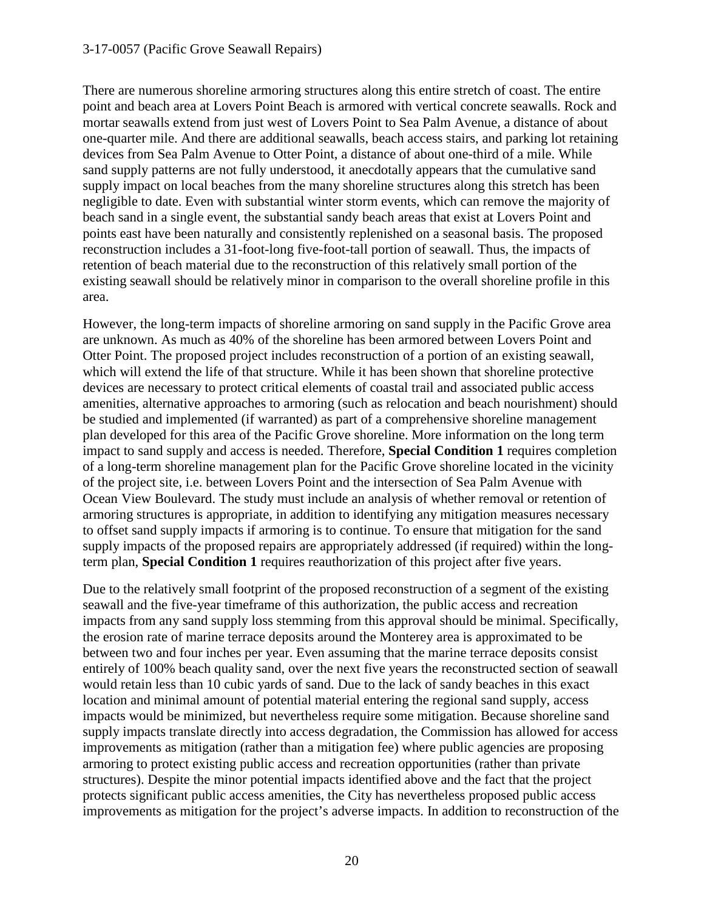#### 3-17-0057 (Pacific Grove Seawall Repairs)

There are numerous shoreline armoring structures along this entire stretch of coast. The entire point and beach area at Lovers Point Beach is armored with vertical concrete seawalls. Rock and mortar seawalls extend from just west of Lovers Point to Sea Palm Avenue, a distance of about one-quarter mile. And there are additional seawalls, beach access stairs, and parking lot retaining devices from Sea Palm Avenue to Otter Point, a distance of about one-third of a mile. While sand supply patterns are not fully understood, it anecdotally appears that the cumulative sand supply impact on local beaches from the many shoreline structures along this stretch has been negligible to date. Even with substantial winter storm events, which can remove the majority of beach sand in a single event, the substantial sandy beach areas that exist at Lovers Point and points east have been naturally and consistently replenished on a seasonal basis. The proposed reconstruction includes a 31-foot-long five-foot-tall portion of seawall. Thus, the impacts of retention of beach material due to the reconstruction of this relatively small portion of the existing seawall should be relatively minor in comparison to the overall shoreline profile in this area.

However, the long-term impacts of shoreline armoring on sand supply in the Pacific Grove area are unknown. As much as 40% of the shoreline has been armored between Lovers Point and Otter Point. The proposed project includes reconstruction of a portion of an existing seawall, which will extend the life of that structure. While it has been shown that shoreline protective devices are necessary to protect critical elements of coastal trail and associated public access amenities, alternative approaches to armoring (such as relocation and beach nourishment) should be studied and implemented (if warranted) as part of a comprehensive shoreline management plan developed for this area of the Pacific Grove shoreline. More information on the long term impact to sand supply and access is needed. Therefore, **Special Condition 1** requires completion of a long-term shoreline management plan for the Pacific Grove shoreline located in the vicinity of the project site, i.e. between Lovers Point and the intersection of Sea Palm Avenue with Ocean View Boulevard. The study must include an analysis of whether removal or retention of armoring structures is appropriate, in addition to identifying any mitigation measures necessary to offset sand supply impacts if armoring is to continue. To ensure that mitigation for the sand supply impacts of the proposed repairs are appropriately addressed (if required) within the longterm plan, **Special Condition 1** requires reauthorization of this project after five years.

Due to the relatively small footprint of the proposed reconstruction of a segment of the existing seawall and the five-year timeframe of this authorization, the public access and recreation impacts from any sand supply loss stemming from this approval should be minimal. Specifically, the erosion rate of marine terrace deposits around the Monterey area is approximated to be between two and four inches per year. Even assuming that the marine terrace deposits consist entirely of 100% beach quality sand, over the next five years the reconstructed section of seawall would retain less than 10 cubic yards of sand. Due to the lack of sandy beaches in this exact location and minimal amount of potential material entering the regional sand supply, access impacts would be minimized, but nevertheless require some mitigation. Because shoreline sand supply impacts translate directly into access degradation, the Commission has allowed for access improvements as mitigation (rather than a mitigation fee) where public agencies are proposing armoring to protect existing public access and recreation opportunities (rather than private structures). Despite the minor potential impacts identified above and the fact that the project protects significant public access amenities, the City has nevertheless proposed public access improvements as mitigation for the project's adverse impacts. In addition to reconstruction of the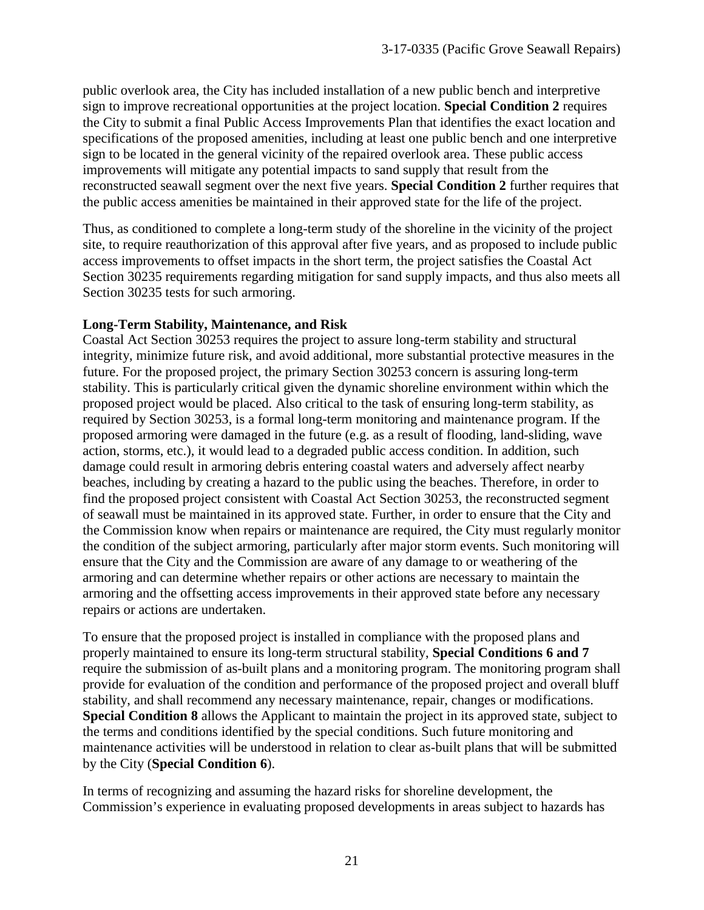public overlook area, the City has included installation of a new public bench and interpretive sign to improve recreational opportunities at the project location. **Special Condition 2** requires the City to submit a final Public Access Improvements Plan that identifies the exact location and specifications of the proposed amenities, including at least one public bench and one interpretive sign to be located in the general vicinity of the repaired overlook area. These public access improvements will mitigate any potential impacts to sand supply that result from the reconstructed seawall segment over the next five years. **Special Condition 2** further requires that the public access amenities be maintained in their approved state for the life of the project.

Thus, as conditioned to complete a long-term study of the shoreline in the vicinity of the project site, to require reauthorization of this approval after five years, and as proposed to include public access improvements to offset impacts in the short term, the project satisfies the Coastal Act Section 30235 requirements regarding mitigation for sand supply impacts, and thus also meets all Section 30235 tests for such armoring.

#### **Long-Term Stability, Maintenance, and Risk**

Coastal Act Section 30253 requires the project to assure long-term stability and structural integrity, minimize future risk, and avoid additional, more substantial protective measures in the future. For the proposed project, the primary Section 30253 concern is assuring long-term stability. This is particularly critical given the dynamic shoreline environment within which the proposed project would be placed. Also critical to the task of ensuring long-term stability, as required by Section 30253, is a formal long-term monitoring and maintenance program. If the proposed armoring were damaged in the future (e.g. as a result of flooding, land-sliding, wave action, storms, etc.), it would lead to a degraded public access condition. In addition, such damage could result in armoring debris entering coastal waters and adversely affect nearby beaches, including by creating a hazard to the public using the beaches. Therefore, in order to find the proposed project consistent with Coastal Act Section 30253, the reconstructed segment of seawall must be maintained in its approved state. Further, in order to ensure that the City and the Commission know when repairs or maintenance are required, the City must regularly monitor the condition of the subject armoring, particularly after major storm events. Such monitoring will ensure that the City and the Commission are aware of any damage to or weathering of the armoring and can determine whether repairs or other actions are necessary to maintain the armoring and the offsetting access improvements in their approved state before any necessary repairs or actions are undertaken.

To ensure that the proposed project is installed in compliance with the proposed plans and properly maintained to ensure its long-term structural stability, **Special Conditions 6 and 7**  require the submission of as-built plans and a monitoring program. The monitoring program shall provide for evaluation of the condition and performance of the proposed project and overall bluff stability, and shall recommend any necessary maintenance, repair, changes or modifications. **Special Condition 8** allows the Applicant to maintain the project in its approved state, subject to the terms and conditions identified by the special conditions. Such future monitoring and maintenance activities will be understood in relation to clear as-built plans that will be submitted by the City (**Special Condition 6**).

In terms of recognizing and assuming the hazard risks for shoreline development, the Commission's experience in evaluating proposed developments in areas subject to hazards has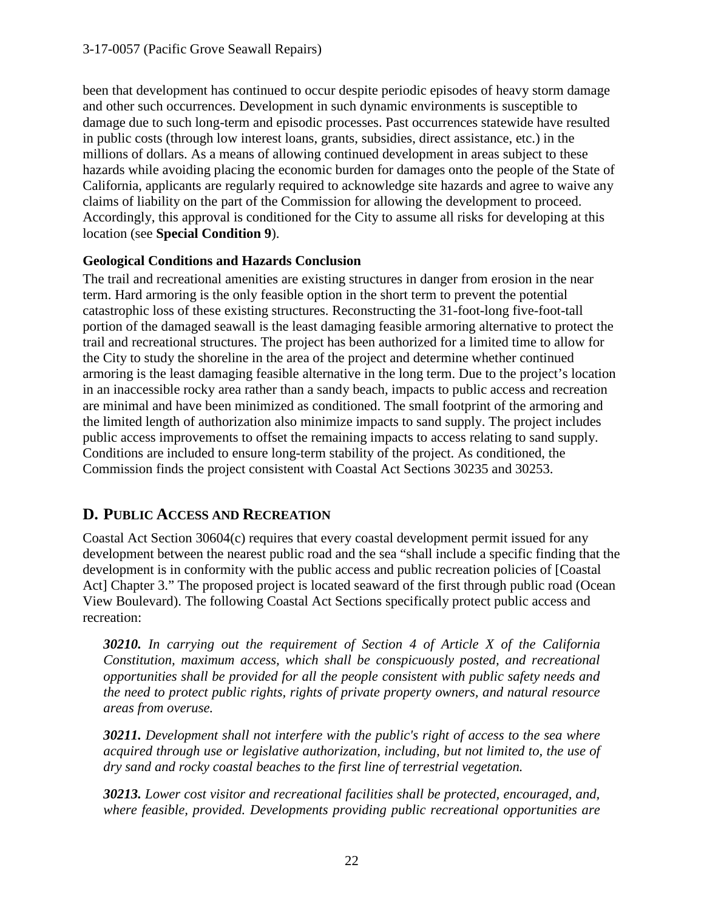been that development has continued to occur despite periodic episodes of heavy storm damage and other such occurrences. Development in such dynamic environments is susceptible to damage due to such long-term and episodic processes. Past occurrences statewide have resulted in public costs (through low interest loans, grants, subsidies, direct assistance, etc.) in the millions of dollars. As a means of allowing continued development in areas subject to these hazards while avoiding placing the economic burden for damages onto the people of the State of California, applicants are regularly required to acknowledge site hazards and agree to waive any claims of liability on the part of the Commission for allowing the development to proceed. Accordingly, this approval is conditioned for the City to assume all risks for developing at this location (see **Special Condition 9**).

#### **Geological Conditions and Hazards Conclusion**

The trail and recreational amenities are existing structures in danger from erosion in the near term. Hard armoring is the only feasible option in the short term to prevent the potential catastrophic loss of these existing structures. Reconstructing the 31-foot-long five-foot-tall portion of the damaged seawall is the least damaging feasible armoring alternative to protect the trail and recreational structures. The project has been authorized for a limited time to allow for the City to study the shoreline in the area of the project and determine whether continued armoring is the least damaging feasible alternative in the long term. Due to the project's location in an inaccessible rocky area rather than a sandy beach, impacts to public access and recreation are minimal and have been minimized as conditioned. The small footprint of the armoring and the limited length of authorization also minimize impacts to sand supply. The project includes public access improvements to offset the remaining impacts to access relating to sand supply. Conditions are included to ensure long-term stability of the project. As conditioned, the Commission finds the project consistent with Coastal Act Sections 30235 and 30253.

# **D. PUBLIC ACCESS AND RECREATION**

Coastal Act Section 30604(c) requires that every coastal development permit issued for any development between the nearest public road and the sea "shall include a specific finding that the development is in conformity with the public access and public recreation policies of [Coastal Act] Chapter 3." The proposed project is located seaward of the first through public road (Ocean View Boulevard). The following Coastal Act Sections specifically protect public access and recreation:

*30210. In carrying out the requirement of Section 4 of Article X of the California Constitution, maximum access, which shall be conspicuously posted, and recreational opportunities shall be provided for all the people consistent with public safety needs and the need to protect public rights, rights of private property owners, and natural resource areas from overuse.* 

*30211. Development shall not interfere with the public's right of access to the sea where acquired through use or legislative authorization, including, but not limited to, the use of dry sand and rocky coastal beaches to the first line of terrestrial vegetation.* 

*30213. Lower cost visitor and recreational facilities shall be protected, encouraged, and, where feasible, provided. Developments providing public recreational opportunities are*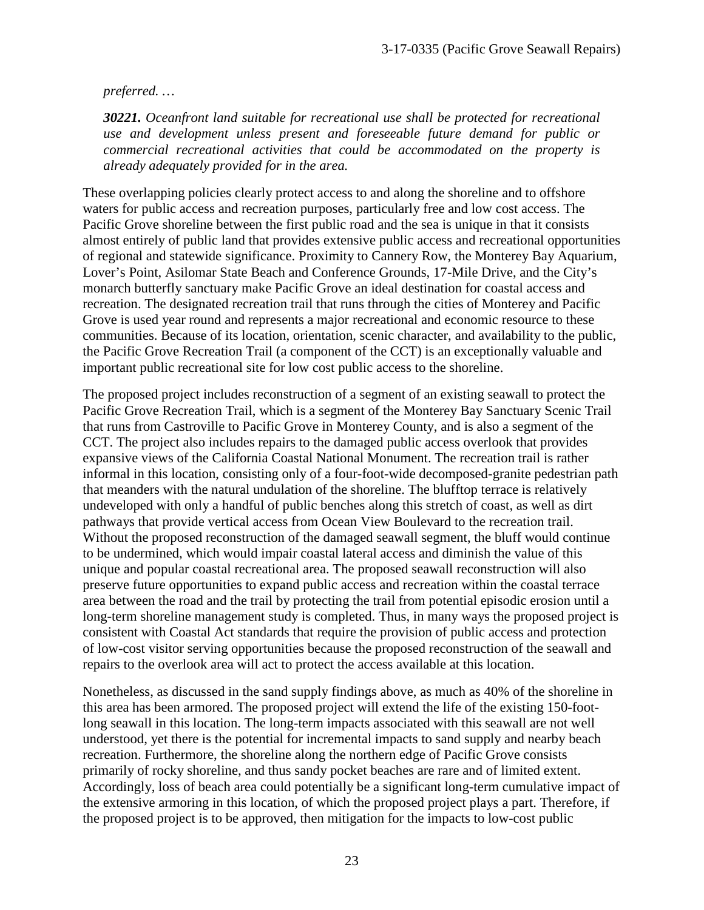*preferred. …*

*30221. Oceanfront land suitable for recreational use shall be protected for recreational use and development unless present and foreseeable future demand for public or commercial recreational activities that could be accommodated on the property is already adequately provided for in the area.* 

These overlapping policies clearly protect access to and along the shoreline and to offshore waters for public access and recreation purposes, particularly free and low cost access. The Pacific Grove shoreline between the first public road and the sea is unique in that it consists almost entirely of public land that provides extensive public access and recreational opportunities of regional and statewide significance. Proximity to Cannery Row, the Monterey Bay Aquarium, Lover's Point, Asilomar State Beach and Conference Grounds, 17-Mile Drive, and the City's monarch butterfly sanctuary make Pacific Grove an ideal destination for coastal access and recreation. The designated recreation trail that runs through the cities of Monterey and Pacific Grove is used year round and represents a major recreational and economic resource to these communities. Because of its location, orientation, scenic character, and availability to the public, the Pacific Grove Recreation Trail (a component of the CCT) is an exceptionally valuable and important public recreational site for low cost public access to the shoreline.

The proposed project includes reconstruction of a segment of an existing seawall to protect the Pacific Grove Recreation Trail, which is a segment of the Monterey Bay Sanctuary Scenic Trail that runs from Castroville to Pacific Grove in Monterey County, and is also a segment of the CCT. The project also includes repairs to the damaged public access overlook that provides expansive views of the California Coastal National Monument. The recreation trail is rather informal in this location, consisting only of a four-foot-wide decomposed-granite pedestrian path that meanders with the natural undulation of the shoreline. The blufftop terrace is relatively undeveloped with only a handful of public benches along this stretch of coast, as well as dirt pathways that provide vertical access from Ocean View Boulevard to the recreation trail. Without the proposed reconstruction of the damaged seawall segment, the bluff would continue to be undermined, which would impair coastal lateral access and diminish the value of this unique and popular coastal recreational area. The proposed seawall reconstruction will also preserve future opportunities to expand public access and recreation within the coastal terrace area between the road and the trail by protecting the trail from potential episodic erosion until a long-term shoreline management study is completed. Thus, in many ways the proposed project is consistent with Coastal Act standards that require the provision of public access and protection of low-cost visitor serving opportunities because the proposed reconstruction of the seawall and repairs to the overlook area will act to protect the access available at this location.

Nonetheless, as discussed in the sand supply findings above, as much as 40% of the shoreline in this area has been armored. The proposed project will extend the life of the existing 150-footlong seawall in this location. The long-term impacts associated with this seawall are not well understood, yet there is the potential for incremental impacts to sand supply and nearby beach recreation. Furthermore, the shoreline along the northern edge of Pacific Grove consists primarily of rocky shoreline, and thus sandy pocket beaches are rare and of limited extent. Accordingly, loss of beach area could potentially be a significant long-term cumulative impact of the extensive armoring in this location, of which the proposed project plays a part. Therefore, if the proposed project is to be approved, then mitigation for the impacts to low-cost public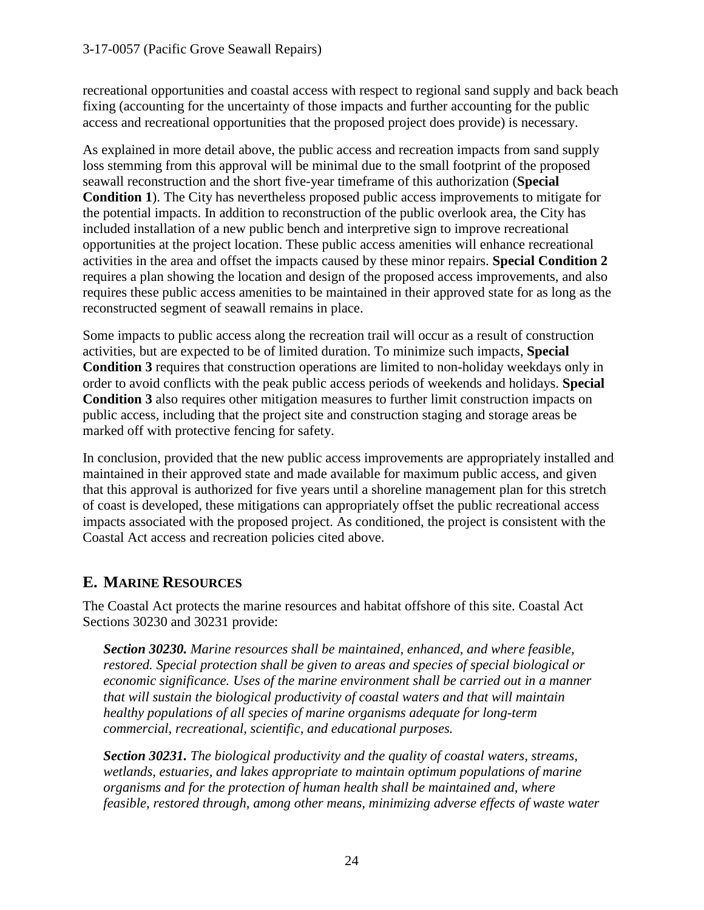#### 3-17-0057 (Pacific Grove Seawall Repairs)

recreational opportunities and coastal access with respect to regional sand supply and back beach fixing (accounting for the uncertainty of those impacts and further accounting for the public access and recreational opportunities that the proposed project does provide) is necessary.

As explained in more detail above, the public access and recreation impacts from sand supply loss stemming from this approval will be minimal due to the small footprint of the proposed seawall reconstruction and the short five-year timeframe of this authorization (**Special Condition 1**). The City has nevertheless proposed public access improvements to mitigate for the potential impacts. In addition to reconstruction of the public overlook area, the City has included installation of a new public bench and interpretive sign to improve recreational opportunities at the project location. These public access amenities will enhance recreational activities in the area and offset the impacts caused by these minor repairs. **Special Condition 2** requires a plan showing the location and design of the proposed access improvements, and also requires these public access amenities to be maintained in their approved state for as long as the reconstructed segment of seawall remains in place.

Some impacts to public access along the recreation trail will occur as a result of construction activities, but are expected to be of limited duration. To minimize such impacts, **Special Condition 3** requires that construction operations are limited to non-holiday weekdays only in order to avoid conflicts with the peak public access periods of weekends and holidays. **Special Condition 3** also requires other mitigation measures to further limit construction impacts on public access, including that the project site and construction staging and storage areas be marked off with protective fencing for safety.

In conclusion, provided that the new public access improvements are appropriately installed and maintained in their approved state and made available for maximum public access, and given that this approval is authorized for five years until a shoreline management plan for this stretch of coast is developed, these mitigations can appropriately offset the public recreational access impacts associated with the proposed project. As conditioned, the project is consistent with the Coastal Act access and recreation policies cited above.

## **E. MARINE RESOURCES**

The Coastal Act protects the marine resources and habitat offshore of this site. Coastal Act Sections 30230 and 30231 provide:

*Section 30230. Marine resources shall be maintained, enhanced, and where feasible, restored. Special protection shall be given to areas and species of special biological or economic significance. Uses of the marine environment shall be carried out in a manner that will sustain the biological productivity of coastal waters and that will maintain healthy populations of all species of marine organisms adequate for long-term commercial, recreational, scientific, and educational purposes.* 

*Section 30231. The biological productivity and the quality of coastal waters, streams, wetlands, estuaries, and lakes appropriate to maintain optimum populations of marine organisms and for the protection of human health shall be maintained and, where feasible, restored through, among other means, minimizing adverse effects of waste water*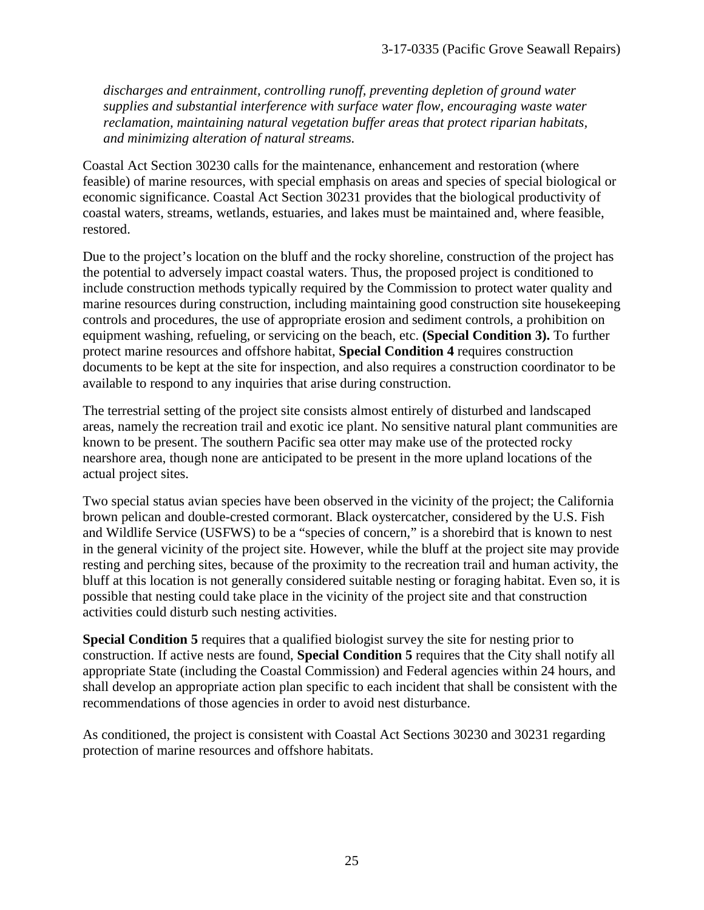*discharges and entrainment, controlling runoff, preventing depletion of ground water supplies and substantial interference with surface water flow, encouraging waste water reclamation, maintaining natural vegetation buffer areas that protect riparian habitats, and minimizing alteration of natural streams.* 

Coastal Act Section 30230 calls for the maintenance, enhancement and restoration (where feasible) of marine resources, with special emphasis on areas and species of special biological or economic significance. Coastal Act Section 30231 provides that the biological productivity of coastal waters, streams, wetlands, estuaries, and lakes must be maintained and, where feasible, restored.

Due to the project's location on the bluff and the rocky shoreline, construction of the project has the potential to adversely impact coastal waters. Thus, the proposed project is conditioned to include construction methods typically required by the Commission to protect water quality and marine resources during construction, including maintaining good construction site housekeeping controls and procedures, the use of appropriate erosion and sediment controls, a prohibition on equipment washing, refueling, or servicing on the beach, etc. **(Special Condition 3).** To further protect marine resources and offshore habitat, **Special Condition 4** requires construction documents to be kept at the site for inspection, and also requires a construction coordinator to be available to respond to any inquiries that arise during construction.

The terrestrial setting of the project site consists almost entirely of disturbed and landscaped areas, namely the recreation trail and exotic ice plant. No sensitive natural plant communities are known to be present. The southern Pacific sea otter may make use of the protected rocky nearshore area, though none are anticipated to be present in the more upland locations of the actual project sites.

Two special status avian species have been observed in the vicinity of the project; the California brown pelican and double-crested cormorant. Black oystercatcher, considered by the U.S. Fish and Wildlife Service (USFWS) to be a "species of concern," is a shorebird that is known to nest in the general vicinity of the project site. However, while the bluff at the project site may provide resting and perching sites, because of the proximity to the recreation trail and human activity, the bluff at this location is not generally considered suitable nesting or foraging habitat. Even so, it is possible that nesting could take place in the vicinity of the project site and that construction activities could disturb such nesting activities.

**Special Condition 5** requires that a qualified biologist survey the site for nesting prior to construction. If active nests are found, **Special Condition 5** requires that the City shall notify all appropriate State (including the Coastal Commission) and Federal agencies within 24 hours, and shall develop an appropriate action plan specific to each incident that shall be consistent with the recommendations of those agencies in order to avoid nest disturbance.

As conditioned, the project is consistent with Coastal Act Sections 30230 and 30231 regarding protection of marine resources and offshore habitats.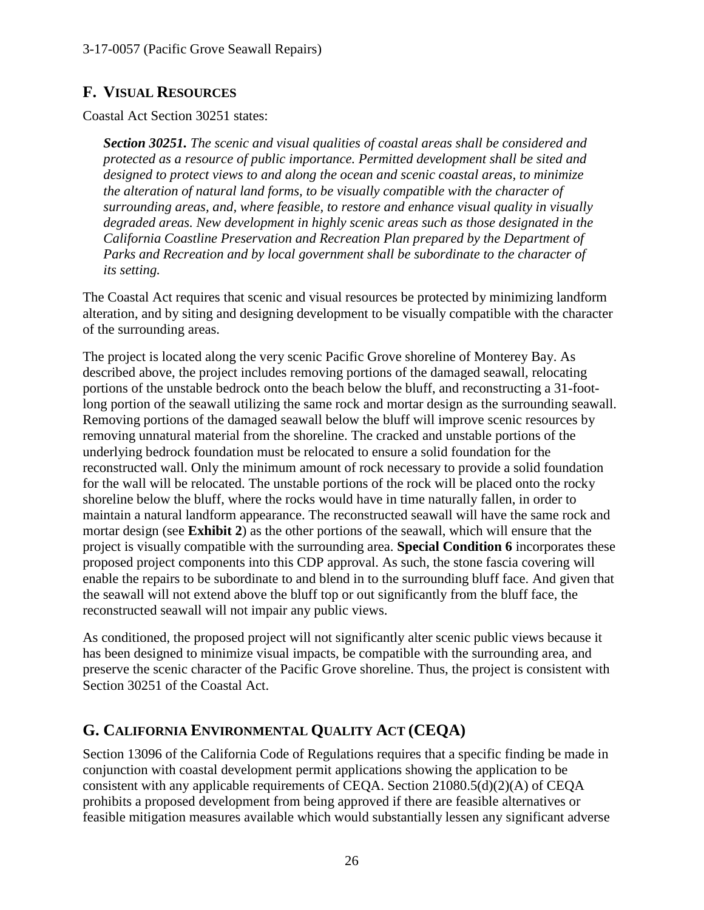# **F. VISUAL RESOURCES**

Coastal Act Section 30251 states:

*Section 30251. The scenic and visual qualities of coastal areas shall be considered and protected as a resource of public importance. Permitted development shall be sited and designed to protect views to and along the ocean and scenic coastal areas, to minimize the alteration of natural land forms, to be visually compatible with the character of surrounding areas, and, where feasible, to restore and enhance visual quality in visually degraded areas. New development in highly scenic areas such as those designated in the California Coastline Preservation and Recreation Plan prepared by the Department of Parks and Recreation and by local government shall be subordinate to the character of its setting.*

The Coastal Act requires that scenic and visual resources be protected by minimizing landform alteration, and by siting and designing development to be visually compatible with the character of the surrounding areas.

The project is located along the very scenic Pacific Grove shoreline of Monterey Bay. As described above, the project includes removing portions of the damaged seawall, relocating portions of the unstable bedrock onto the beach below the bluff, and reconstructing a 31-footlong portion of the seawall utilizing the same rock and mortar design as the surrounding seawall. Removing portions of the damaged seawall below the bluff will improve scenic resources by removing unnatural material from the shoreline. The cracked and unstable portions of the underlying bedrock foundation must be relocated to ensure a solid foundation for the reconstructed wall. Only the minimum amount of rock necessary to provide a solid foundation for the wall will be relocated. The unstable portions of the rock will be placed onto the rocky shoreline below the bluff, where the rocks would have in time naturally fallen, in order to maintain a natural landform appearance. The reconstructed seawall will have the same rock and mortar design (see **Exhibit 2**) as the other portions of the seawall, which will ensure that the project is visually compatible with the surrounding area. **Special Condition 6** incorporates these proposed project components into this CDP approval. As such, the stone fascia covering will enable the repairs to be subordinate to and blend in to the surrounding bluff face. And given that the seawall will not extend above the bluff top or out significantly from the bluff face, the reconstructed seawall will not impair any public views.

As conditioned, the proposed project will not significantly alter scenic public views because it has been designed to minimize visual impacts, be compatible with the surrounding area, and preserve the scenic character of the Pacific Grove shoreline. Thus, the project is consistent with Section 30251 of the Coastal Act.

# **G. CALIFORNIA ENVIRONMENTAL QUALITY ACT (CEQA)**

Section 13096 of the California Code of Regulations requires that a specific finding be made in conjunction with coastal development permit applications showing the application to be consistent with any applicable requirements of CEQA. Section 21080.5(d)(2)(A) of CEQA prohibits a proposed development from being approved if there are feasible alternatives or feasible mitigation measures available which would substantially lessen any significant adverse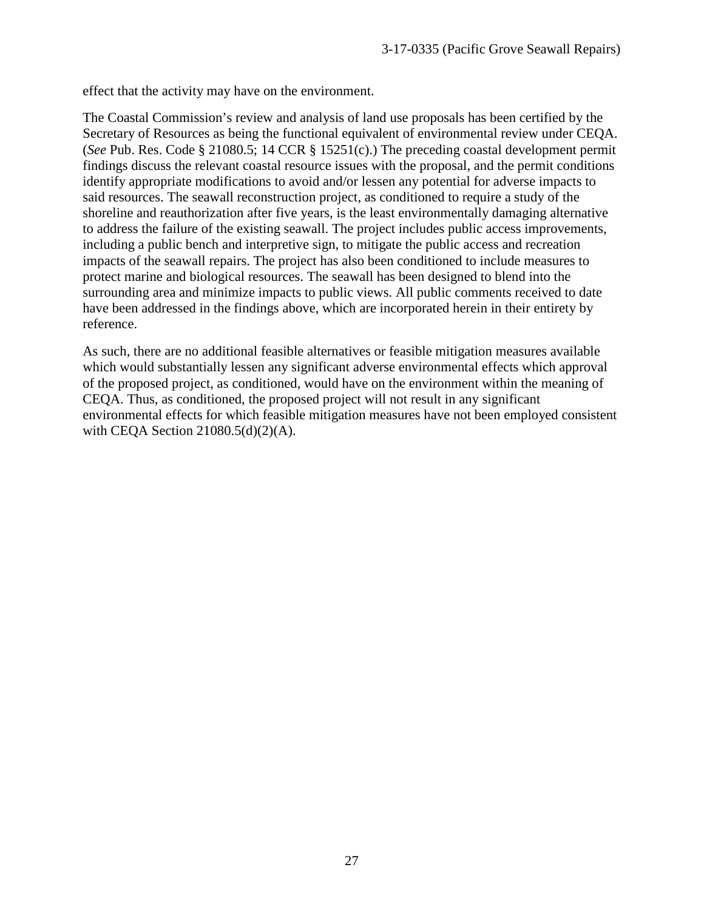effect that the activity may have on the environment.

The Coastal Commission's review and analysis of land use proposals has been certified by the Secretary of Resources as being the functional equivalent of environmental review under CEQA. (*See* Pub. Res. Code § 21080.5; 14 CCR § 15251(c).) The preceding coastal development permit findings discuss the relevant coastal resource issues with the proposal, and the permit conditions identify appropriate modifications to avoid and/or lessen any potential for adverse impacts to said resources. The seawall reconstruction project, as conditioned to require a study of the shoreline and reauthorization after five years, is the least environmentally damaging alternative to address the failure of the existing seawall. The project includes public access improvements, including a public bench and interpretive sign, to mitigate the public access and recreation impacts of the seawall repairs. The project has also been conditioned to include measures to protect marine and biological resources. The seawall has been designed to blend into the surrounding area and minimize impacts to public views. All public comments received to date have been addressed in the findings above, which are incorporated herein in their entirety by reference.

As such, there are no additional feasible alternatives or feasible mitigation measures available which would substantially lessen any significant adverse environmental effects which approval of the proposed project, as conditioned, would have on the environment within the meaning of CEQA. Thus, as conditioned, the proposed project will not result in any significant environmental effects for which feasible mitigation measures have not been employed consistent with CEQA Section 21080.5(d)(2)(A).